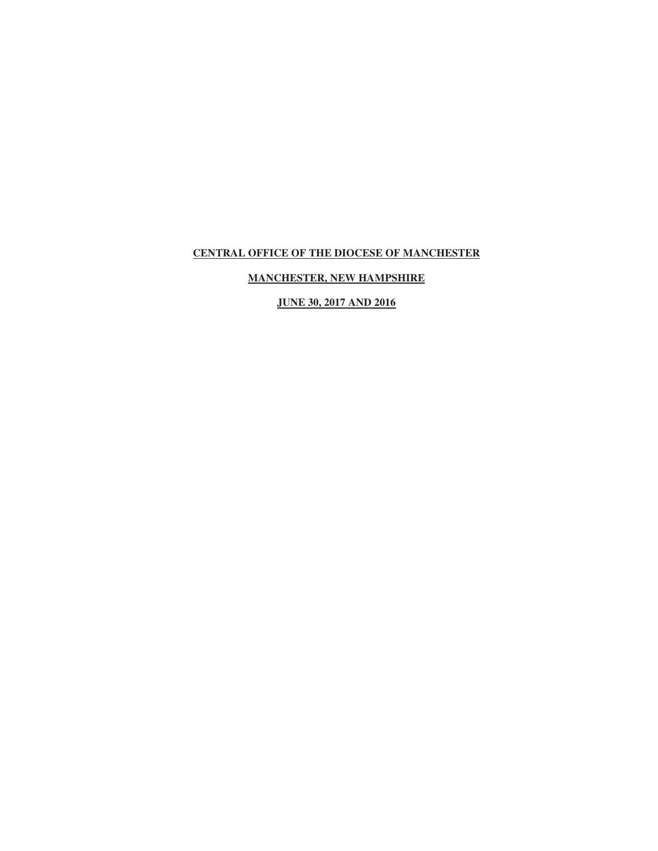# **MANCHESTER, NEW HAMPSHIRE**

**JUNE 30, 2017 AND 2016**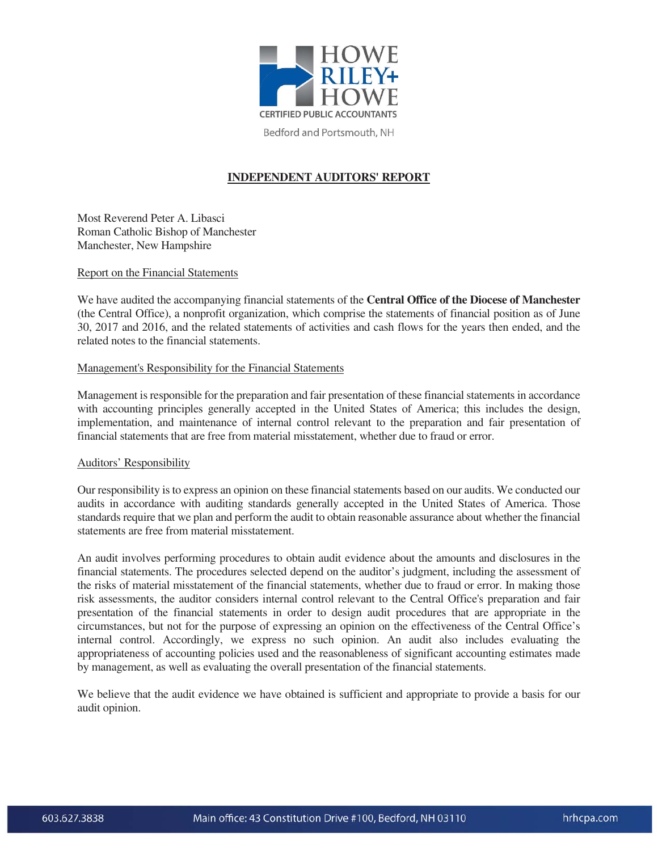

Bedford and Portsmouth, NH

# **INDEPENDENT AUDITORS' REPORT**

Most Reverend Peter A. Libasci Roman Catholic Bishop of Manchester Manchester, New Hampshire

#### Report on the Financial Statements

We have audited the accompanying financial statements of the **Central Office of the Diocese of Manchester** (the Central Office), a nonprofit organization, which comprise the statements of financial position as of June 30, 2017 and 2016, and the related statements of activities and cash flows for the years then ended, and the related notes to the financial statements.

#### Management's Responsibility for the Financial Statements

Management is responsible for the preparation and fair presentation of these financial statements in accordance with accounting principles generally accepted in the United States of America; this includes the design, implementation, and maintenance of internal control relevant to the preparation and fair presentation of financial statements that are free from material misstatement, whether due to fraud or error.

#### Auditors' Responsibility

Our responsibility is to express an opinion on these financial statements based on our audits. We conducted our audits in accordance with auditing standards generally accepted in the United States of America. Those standards require that we plan and perform the audit to obtain reasonable assurance about whether the financial statements are free from material misstatement.

An audit involves performing procedures to obtain audit evidence about the amounts and disclosures in the financial statements. The procedures selected depend on the auditor's judgment, including the assessment of the risks of material misstatement of the financial statements, whether due to fraud or error. In making those risk assessments, the auditor considers internal control relevant to the Central Office's preparation and fair presentation of the financial statements in order to design audit procedures that are appropriate in the circumstances, but not for the purpose of expressing an opinion on the effectiveness of the Central Office's internal control. Accordingly, we express no such opinion. An audit also includes evaluating the appropriateness of accounting policies used and the reasonableness of significant accounting estimates made by management, as well as evaluating the overall presentation of the financial statements.

We believe that the audit evidence we have obtained is sufficient and appropriate to provide a basis for our audit opinion.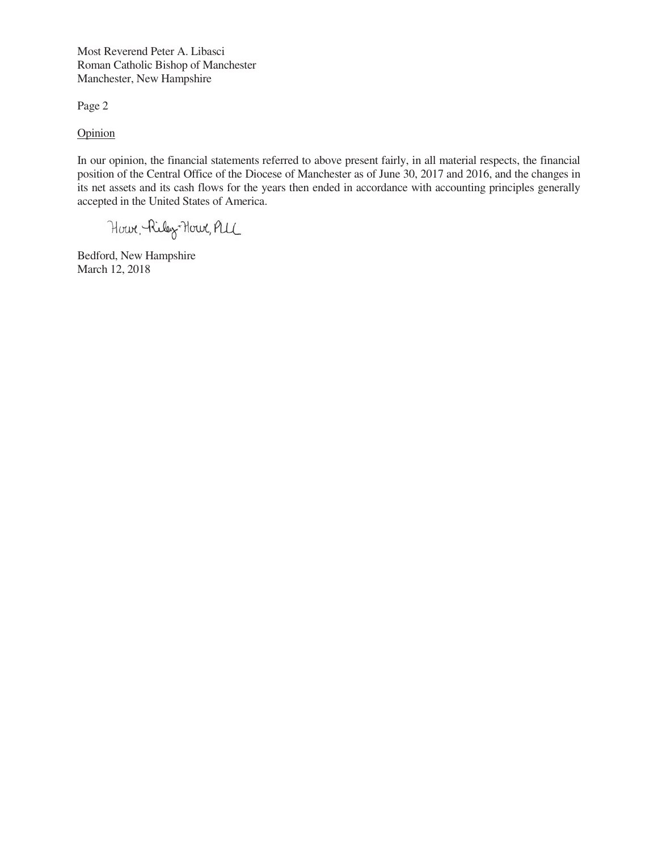Most Reverend Peter A. Libasci Roman Catholic Bishop of Manchester Manchester, New Hampshire

Page 2

**Opinion** 

In our opinion, the financial statements referred to above present fairly, in all material respects, the financial position of the Central Office of the Diocese of Manchester as of June 30, 2017 and 2016, and the changes in its net assets and its cash flows for the years then ended in accordance with accounting principles generally accepted in the United States of America.

Howe, Riley-Howe, PLL

Bedford, New Hampshire March 12, 2018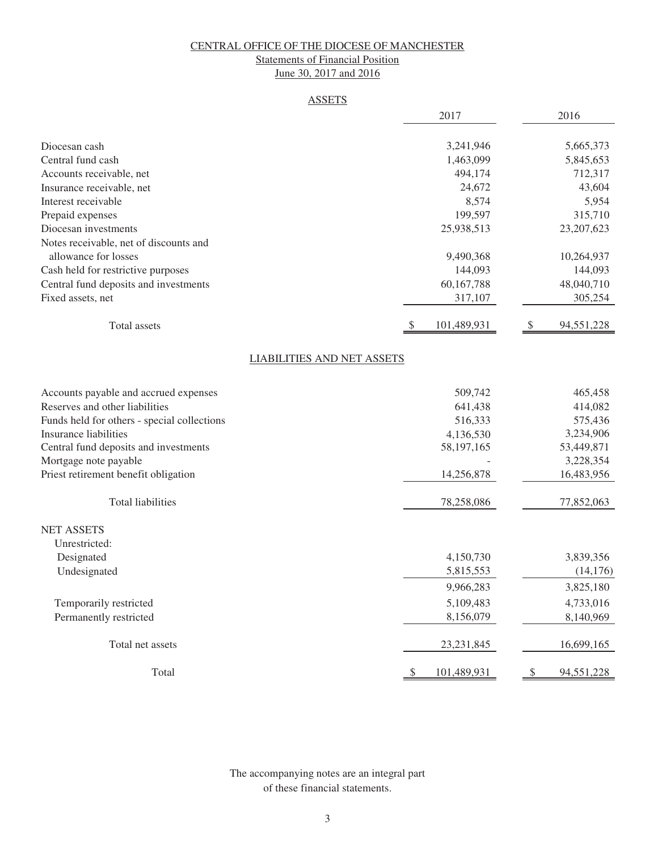# Statements of Financial Position

June 30, 2017 and 2016

#### **ASSETS**

|                                                                | 2017                              | 2016                                  |
|----------------------------------------------------------------|-----------------------------------|---------------------------------------|
|                                                                |                                   |                                       |
| Diocesan cash                                                  | 3,241,946                         | 5,665,373                             |
| Central fund cash                                              | 1,463,099                         | 5,845,653                             |
| Accounts receivable, net                                       | 494,174                           | 712,317                               |
| Insurance receivable, net                                      | 24,672                            | 43,604                                |
| Interest receivable                                            | 8,574                             | 5,954                                 |
| Prepaid expenses                                               | 199,597                           | 315,710                               |
| Diocesan investments                                           | 25,938,513                        | 23, 207, 623                          |
| Notes receivable, net of discounts and<br>allowance for losses | 9,490,368                         | 10,264,937                            |
| Cash held for restrictive purposes                             | 144,093                           | 144,093                               |
| Central fund deposits and investments                          | 60,167,788                        | 48,040,710                            |
| Fixed assets, net                                              | 317,107                           | 305,254                               |
|                                                                |                                   |                                       |
| Total assets                                                   | $\mathcal{S}$<br>101,489,931      | 94,551,228<br>$\sqrt[6]{\frac{1}{2}}$ |
|                                                                | <b>LIABILITIES AND NET ASSETS</b> |                                       |
| Accounts payable and accrued expenses                          | 509,742                           | 465,458                               |
| Reserves and other liabilities                                 | 641,438                           | 414,082                               |
| Funds held for others - special collections                    | 516,333                           | 575,436                               |
| Insurance liabilities                                          | 4,136,530                         | 3,234,906                             |
| Central fund deposits and investments                          | 58, 197, 165                      | 53,449,871                            |
| Mortgage note payable                                          |                                   | 3,228,354                             |
| Priest retirement benefit obligation                           | 14,256,878                        | 16,483,956                            |
| <b>Total liabilities</b>                                       | 78,258,086                        | 77,852,063                            |
| <b>NET ASSETS</b>                                              |                                   |                                       |
| Unrestricted:                                                  |                                   |                                       |
| Designated                                                     | 4,150,730                         | 3,839,356                             |
| Undesignated                                                   | 5,815,553                         | (14, 176)                             |
|                                                                | 9,966,283                         | 3,825,180                             |
| Temporarily restricted                                         | 5,109,483                         | 4,733,016                             |
| Permanently restricted                                         | 8,156,079                         | 8,140,969                             |
| Total net assets                                               | 23, 231, 845                      | 16,699,165                            |
| Total                                                          | \$<br>101,489,931                 | $\sqrt{\ }$<br>94,551,228             |

The accompanying notes are an integral part of these financial statements.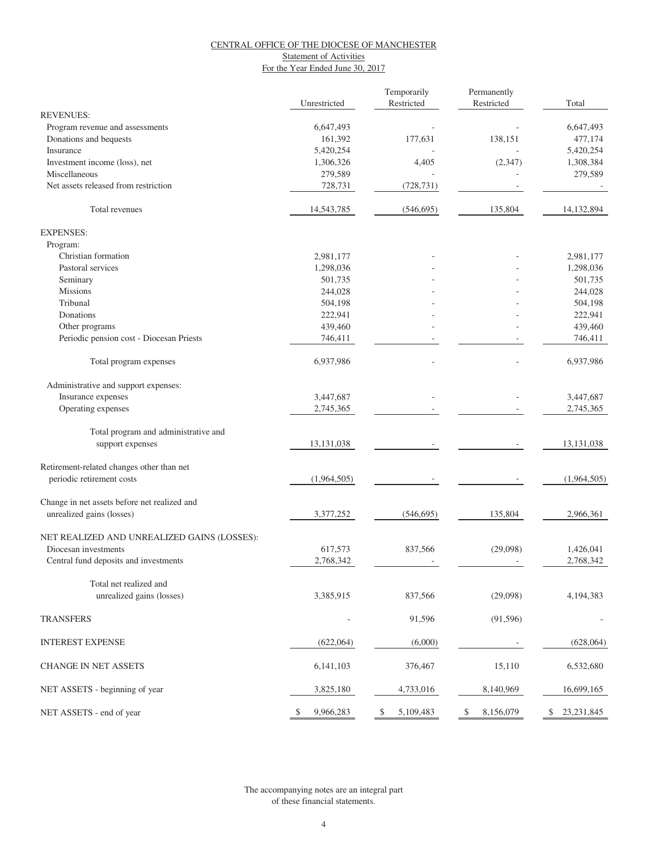#### **Statement of Activities**

For the Year Ended June 30, 2017

|                                              | Unrestricted    | Temporarily<br>Restricted | Permanently<br>Restricted | Total              |
|----------------------------------------------|-----------------|---------------------------|---------------------------|--------------------|
| <b>REVENUES:</b>                             |                 |                           |                           |                    |
| Program revenue and assessments              | 6,647,493       |                           |                           | 6,647,493          |
| Donations and bequests                       | 161,392         | 177,631                   | 138,151                   | 477,174            |
| Insurance                                    | 5,420,254       |                           |                           | 5,420,254          |
| Investment income (loss), net                | 1,306,326       | 4,405                     | (2, 347)                  | 1,308,384          |
| Miscellaneous                                | 279,589         |                           |                           | 279,589            |
| Net assets released from restriction         | 728,731         | (728, 731)                |                           |                    |
| Total revenues                               | 14,543,785      | (546, 695)                | 135,804                   | 14,132,894         |
| <b>EXPENSES:</b>                             |                 |                           |                           |                    |
| Program:                                     |                 |                           |                           |                    |
| Christian formation                          | 2,981,177       |                           |                           | 2,981,177          |
| Pastoral services                            | 1,298,036       |                           |                           | 1,298,036          |
| Seminary                                     | 501,735         |                           |                           | 501,735            |
| <b>Missions</b>                              | 244,028         |                           |                           | 244,028            |
| Tribunal                                     | 504,198         |                           |                           | 504,198            |
| Donations                                    | 222,941         |                           |                           | 222,941            |
| Other programs                               | 439,460         |                           |                           | 439,460            |
| Periodic pension cost - Diocesan Priests     | 746,411         |                           |                           | 746,411            |
| Total program expenses                       | 6,937,986       |                           |                           | 6,937,986          |
| Administrative and support expenses:         |                 |                           |                           |                    |
| Insurance expenses                           | 3,447,687       |                           |                           | 3,447,687          |
| Operating expenses                           | 2,745,365       |                           |                           | 2,745,365          |
| Total program and administrative and         |                 |                           |                           |                    |
| support expenses                             | 13, 131, 038    |                           |                           | 13,131,038         |
| Retirement-related changes other than net    |                 |                           |                           |                    |
| periodic retirement costs                    | (1,964,505)     |                           |                           | (1,964,505)        |
| Change in net assets before net realized and |                 |                           |                           |                    |
| unrealized gains (losses)                    | 3,377,252       | (546, 695)                | 135,804                   | 2,966,361          |
| NET REALIZED AND UNREALIZED GAINS (LOSSES):  |                 |                           |                           |                    |
| Diocesan investments                         | 617,573         | 837,566                   | (29,098)                  | 1,426,041          |
| Central fund deposits and investments        | 2,768,342       |                           |                           | 2,768,342          |
| Total net realized and                       |                 |                           |                           |                    |
| unrealized gains (losses)                    | 3,385,915       | 837,566                   | (29,098)                  | 4,194,383          |
| <b>TRANSFERS</b>                             |                 | 91,596                    | (91, 596)                 |                    |
| <b>INTEREST EXPENSE</b>                      | (622,064)       | (6,000)                   |                           | (628,064)          |
| CHANGE IN NET ASSETS                         | 6,141,103       | 376,467                   | 15,110                    | 6,532,680          |
| NET ASSETS - beginning of year               | 3,825,180       | 4,733,016                 | 8,140,969                 | 16,699,165         |
| NET ASSETS - end of year                     | 9,966,283<br>\$ | 5,109,483<br>\$           | 8,156,079<br>\$           | \$<br>23, 231, 845 |

of these financial statements. The accompanying notes are an integral part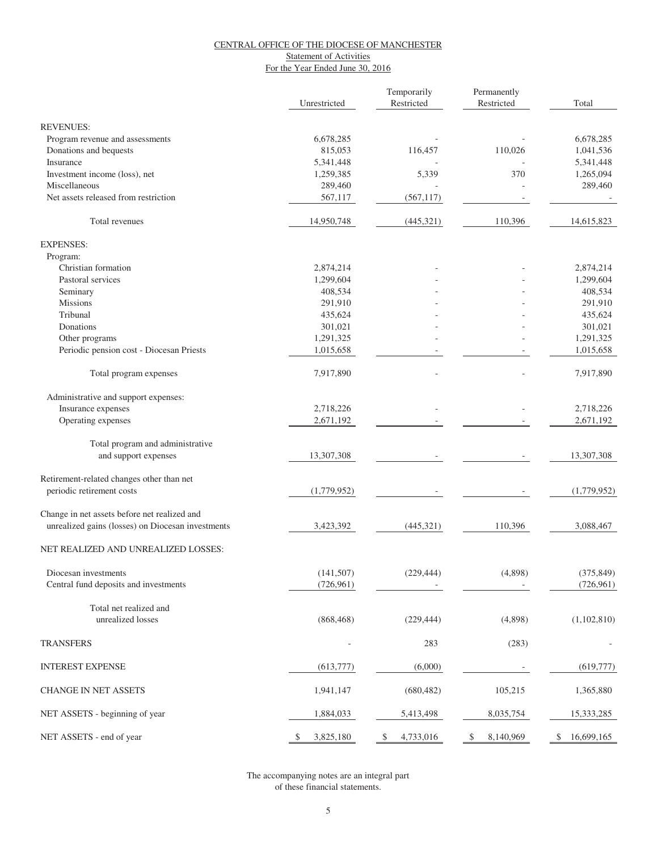#### **Statement of Activities**

For the Year Ended June 30, 2016

|                                                   | Unrestricted    | Temporarily<br>Restricted | Permanently<br>Restricted | Total            |
|---------------------------------------------------|-----------------|---------------------------|---------------------------|------------------|
| <b>REVENUES:</b>                                  |                 |                           |                           |                  |
| Program revenue and assessments                   | 6,678,285       |                           |                           | 6,678,285        |
| Donations and bequests                            | 815,053         | 116,457                   | 110,026                   | 1,041,536        |
| Insurance                                         | 5,341,448       |                           |                           | 5,341,448        |
| Investment income (loss), net                     | 1,259,385       | 5,339                     | 370                       | 1,265,094        |
| Miscellaneous                                     | 289,460         |                           |                           | 289,460          |
| Net assets released from restriction              | 567,117         | (567, 117)                |                           |                  |
| Total revenues                                    | 14,950,748      | (445,321)                 | 110,396                   | 14,615,823       |
| <b>EXPENSES:</b>                                  |                 |                           |                           |                  |
| Program:                                          |                 |                           |                           |                  |
| Christian formation                               | 2,874,214       |                           |                           | 2,874,214        |
| Pastoral services                                 | 1,299,604       |                           |                           | 1,299,604        |
| Seminary                                          | 408,534         |                           |                           | 408,534          |
| <b>Missions</b>                                   | 291,910         |                           |                           | 291,910          |
| Tribunal                                          | 435,624         |                           |                           | 435,624          |
| Donations                                         | 301,021         |                           |                           | 301,021          |
| Other programs                                    | 1,291,325       |                           |                           | 1,291,325        |
| Periodic pension cost - Diocesan Priests          | 1,015,658       |                           |                           | 1,015,658        |
| Total program expenses                            | 7,917,890       |                           |                           | 7,917,890        |
| Administrative and support expenses:              |                 |                           |                           |                  |
| Insurance expenses                                | 2,718,226       |                           |                           | 2,718,226        |
| Operating expenses                                | 2,671,192       |                           |                           | 2,671,192        |
| Total program and administrative                  |                 |                           |                           |                  |
| and support expenses                              | 13,307,308      |                           |                           | 13,307,308       |
| Retirement-related changes other than net         |                 |                           |                           |                  |
| periodic retirement costs                         | (1,779,952)     |                           |                           | (1,779,952)      |
| Change in net assets before net realized and      |                 |                           |                           |                  |
| unrealized gains (losses) on Diocesan investments | 3,423,392       | (445,321)                 | 110,396                   | 3,088,467        |
| NET REALIZED AND UNREALIZED LOSSES:               |                 |                           |                           |                  |
| Diocesan investments                              | (141, 507)      | (229, 444)                | (4,898)                   | (375, 849)       |
| Central fund deposits and investments             | (726, 961)      |                           |                           | (726,961)        |
| Total net realized and                            |                 |                           |                           |                  |
| unrealized losses                                 | (868, 468)      | (229, 444)                | (4,898)                   | (1,102,810)      |
| <b>TRANSFERS</b>                                  |                 | 283                       | (283)                     |                  |
| <b>INTEREST EXPENSE</b>                           | (613,777)       | (6,000)                   |                           | (619, 777)       |
| <b>CHANGE IN NET ASSETS</b>                       | 1,941,147       | (680, 482)                | 105,215                   | 1,365,880        |
| NET ASSETS - beginning of year                    | 1,884,033       | 5,413,498                 | 8,035,754                 | 15,333,285       |
| NET ASSETS - end of year                          | 3,825,180<br>\$ | \$<br>4,733,016           | 8,140,969<br>\$           | 16,699,165<br>\$ |

of these financial statements. The accompanying notes are an integral part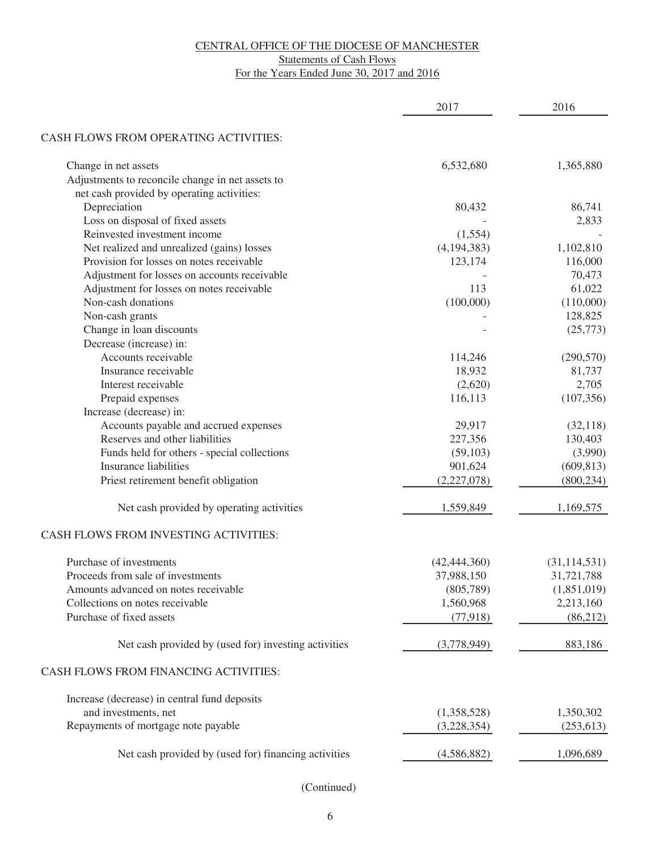# **Statements of Cash Flows**

For the Years Ended June 30, 2017 and 2016

|                                                      | 2017           | 2016           |
|------------------------------------------------------|----------------|----------------|
|                                                      |                |                |
| CASH FLOWS FROM OPERATING ACTIVITIES:                |                |                |
| Change in net assets                                 | 6,532,680      | 1,365,880      |
| Adjustments to reconcile change in net assets to     |                |                |
| net cash provided by operating activities:           |                |                |
| Depreciation                                         | 80,432         | 86,741         |
| Loss on disposal of fixed assets                     |                | 2,833          |
| Reinvested investment income                         | (1,554)        |                |
| Net realized and unrealized (gains) losses           | (4, 194, 383)  | 1,102,810      |
| Provision for losses on notes receivable             | 123,174        | 116,000        |
| Adjustment for losses on accounts receivable         |                | 70,473         |
| Adjustment for losses on notes receivable            | 113            | 61,022         |
| Non-cash donations                                   | (100,000)      | (110,000)      |
| Non-cash grants                                      |                | 128,825        |
| Change in loan discounts                             |                | (25,773)       |
| Decrease (increase) in:                              |                |                |
| Accounts receivable                                  | 114,246        | (290, 570)     |
| Insurance receivable                                 | 18,932         | 81,737         |
| Interest receivable                                  | (2,620)        | 2,705          |
| Prepaid expenses                                     | 116,113        | (107, 356)     |
| Increase (decrease) in:                              |                |                |
| Accounts payable and accrued expenses                | 29,917         | (32, 118)      |
| Reserves and other liabilities                       | 227,356        | 130,403        |
| Funds held for others - special collections          | (59,103)       | (3,990)        |
| <b>Insurance liabilities</b>                         | 901,624        | (609, 813)     |
| Priest retirement benefit obligation                 | (2,227,078)    | (800, 234)     |
|                                                      |                |                |
| Net cash provided by operating activities            | 1,559,849      | 1,169,575      |
| CASH FLOWS FROM INVESTING ACTIVITIES:                |                |                |
| Purchase of investments                              | (42, 444, 360) | (31, 114, 531) |
| Proceeds from sale of investments                    | 37,988,150     | 31,721,788     |
| Amounts advanced on notes receivable                 | (805,789)      | (1,851,019)    |
| Collections on notes receivable                      | 1,560,968      | 2,213,160      |
| Purchase of fixed assets                             | (77, 918)      | (86,212)       |
| Net cash provided by (used for) investing activities | (3,778,949)    | 883,186        |
| CASH FLOWS FROM FINANCING ACTIVITIES:                |                |                |
| Increase (decrease) in central fund deposits         |                |                |
| and investments, net                                 | (1,358,528)    | 1,350,302      |
| Repayments of mortgage note payable                  | (3,228,354)    | (253, 613)     |
|                                                      |                |                |
| Net cash provided by (used for) financing activities | (4,586,882)    | 1,096,689      |

(Continued)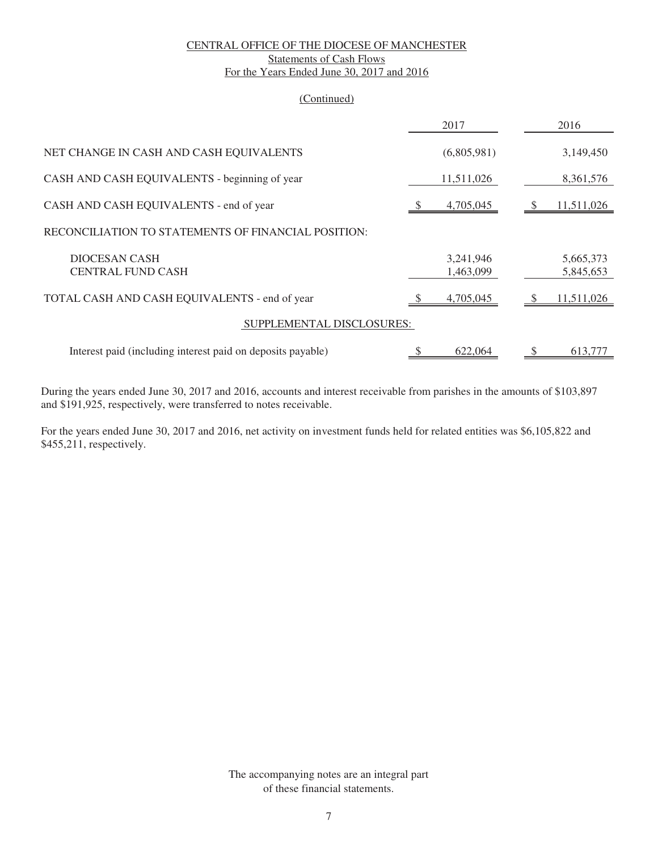#### CENTRAL OFFICE OF THE DIOCESE OF MANCHESTER Statements of Cash Flows For the Years Ended June 30, 2017 and 2016

#### (Continued)

|                                                             | 2017                   | 2016                   |
|-------------------------------------------------------------|------------------------|------------------------|
| NET CHANGE IN CASH AND CASH EQUIVALENTS                     | (6,805,981)            | 3,149,450              |
| CASH AND CASH EQUIVALENTS - beginning of year               | 11,511,026             | 8,361,576              |
| CASH AND CASH EQUIVALENTS - end of year                     | 4,705,045              | 11,511,026             |
| RECONCILIATION TO STATEMENTS OF FINANCIAL POSITION:         |                        |                        |
| DIOCESAN CASH<br><b>CENTRAL FUND CASH</b>                   | 3,241,946<br>1,463,099 | 5,665,373<br>5,845,653 |
| TOTAL CASH AND CASH EQUIVALENTS - end of year               | 4,705,045              | 11,511,026             |
| SUPPLEMENTAL DISCLOSURES:                                   |                        |                        |
| Interest paid (including interest paid on deposits payable) | 622,064                | S<br>613,777           |

During the years ended June 30, 2017 and 2016, accounts and interest receivable from parishes in the amounts of \$103,897 and \$191,925, respectively, were transferred to notes receivable.

For the years ended June 30, 2017 and 2016, net activity on investment funds held for related entities was \$6,105,822 and \$455,211, respectively.

> The accompanying notes are an integral part of these financial statements.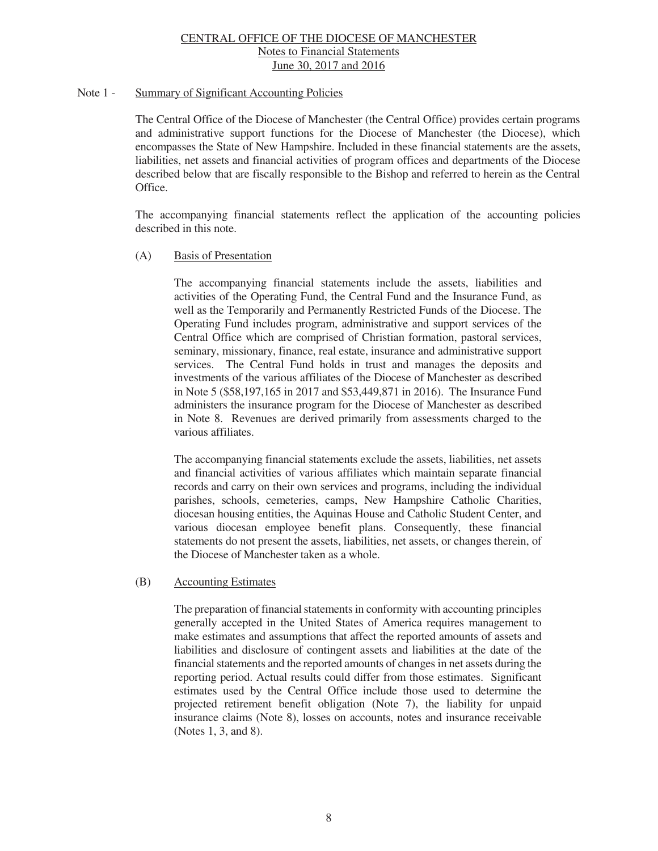#### Note 1 - Summary of Significant Accounting Policies

 The Central Office of the Diocese of Manchester (the Central Office) provides certain programs and administrative support functions for the Diocese of Manchester (the Diocese), which encompasses the State of New Hampshire. Included in these financial statements are the assets, liabilities, net assets and financial activities of program offices and departments of the Diocese described below that are fiscally responsible to the Bishop and referred to herein as the Central Office.

 The accompanying financial statements reflect the application of the accounting policies described in this note.

#### (A) Basis of Presentation

 The accompanying financial statements include the assets, liabilities and activities of the Operating Fund, the Central Fund and the Insurance Fund, as well as the Temporarily and Permanently Restricted Funds of the Diocese. The Operating Fund includes program, administrative and support services of the Central Office which are comprised of Christian formation, pastoral services, seminary, missionary, finance, real estate, insurance and administrative support services. The Central Fund holds in trust and manages the deposits and investments of the various affiliates of the Diocese of Manchester as described in Note 5 (\$58,197,165 in 2017 and \$53,449,871 in 2016). The Insurance Fund administers the insurance program for the Diocese of Manchester as described in Note 8. Revenues are derived primarily from assessments charged to the various affiliates.

 The accompanying financial statements exclude the assets, liabilities, net assets and financial activities of various affiliates which maintain separate financial records and carry on their own services and programs, including the individual parishes, schools, cemeteries, camps, New Hampshire Catholic Charities, diocesan housing entities, the Aquinas House and Catholic Student Center, and various diocesan employee benefit plans. Consequently, these financial statements do not present the assets, liabilities, net assets, or changes therein, of the Diocese of Manchester taken as a whole.

# (B) Accounting Estimates

 The preparation of financial statements in conformity with accounting principles generally accepted in the United States of America requires management to make estimates and assumptions that affect the reported amounts of assets and liabilities and disclosure of contingent assets and liabilities at the date of the financial statements and the reported amounts of changes in net assets during the reporting period. Actual results could differ from those estimates. Significant estimates used by the Central Office include those used to determine the projected retirement benefit obligation (Note 7), the liability for unpaid insurance claims (Note 8), losses on accounts, notes and insurance receivable (Notes 1, 3, and 8).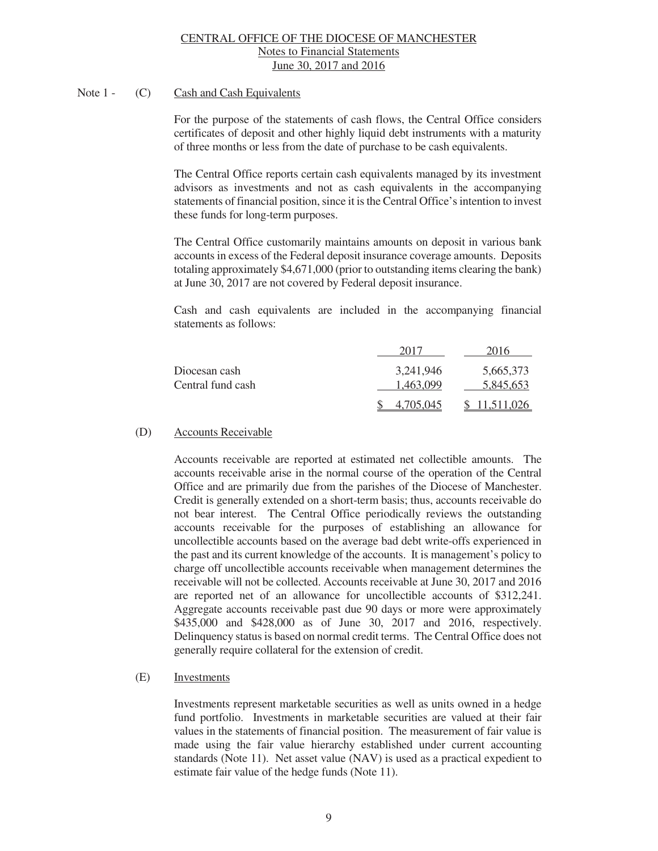# Note 1 - (C) Cash and Cash Equivalents

For the purpose of the statements of cash flows, the Central Office considers certificates of deposit and other highly liquid debt instruments with a maturity of three months or less from the date of purchase to be cash equivalents.

The Central Office reports certain cash equivalents managed by its investment advisors as investments and not as cash equivalents in the accompanying statements of financial position, since it is the Central Office's intention to invest these funds for long-term purposes.

The Central Office customarily maintains amounts on deposit in various bank accounts in excess of the Federal deposit insurance coverage amounts. Deposits totaling approximately \$4,671,000 (prior to outstanding items clearing the bank) at June 30, 2017 are not covered by Federal deposit insurance.

Cash and cash equivalents are included in the accompanying financial statements as follows:

|                   | 2017      | 2016       |
|-------------------|-----------|------------|
| Diocesan cash     | 3,241,946 | 5,665,373  |
| Central fund cash | 1.463.099 | 5,845,653  |
|                   | 4.705.045 | 11,511,026 |

# (D) Accounts Receivable

Accounts receivable are reported at estimated net collectible amounts. The accounts receivable arise in the normal course of the operation of the Central Office and are primarily due from the parishes of the Diocese of Manchester. Credit is generally extended on a short-term basis; thus, accounts receivable do not bear interest. The Central Office periodically reviews the outstanding accounts receivable for the purposes of establishing an allowance for uncollectible accounts based on the average bad debt write-offs experienced in the past and its current knowledge of the accounts. It is management's policy to charge off uncollectible accounts receivable when management determines the receivable will not be collected. Accounts receivable at June 30, 2017 and 2016 are reported net of an allowance for uncollectible accounts of \$312,241. Aggregate accounts receivable past due 90 days or more were approximately \$435,000 and \$428,000 as of June 30, 2017 and 2016, respectively. Delinquency status is based on normal credit terms. The Central Office does not generally require collateral for the extension of credit.

# (E) Investments

Investments represent marketable securities as well as units owned in a hedge fund portfolio. Investments in marketable securities are valued at their fair values in the statements of financial position. The measurement of fair value is made using the fair value hierarchy established under current accounting standards (Note 11). Net asset value (NAV) is used as a practical expedient to estimate fair value of the hedge funds (Note 11).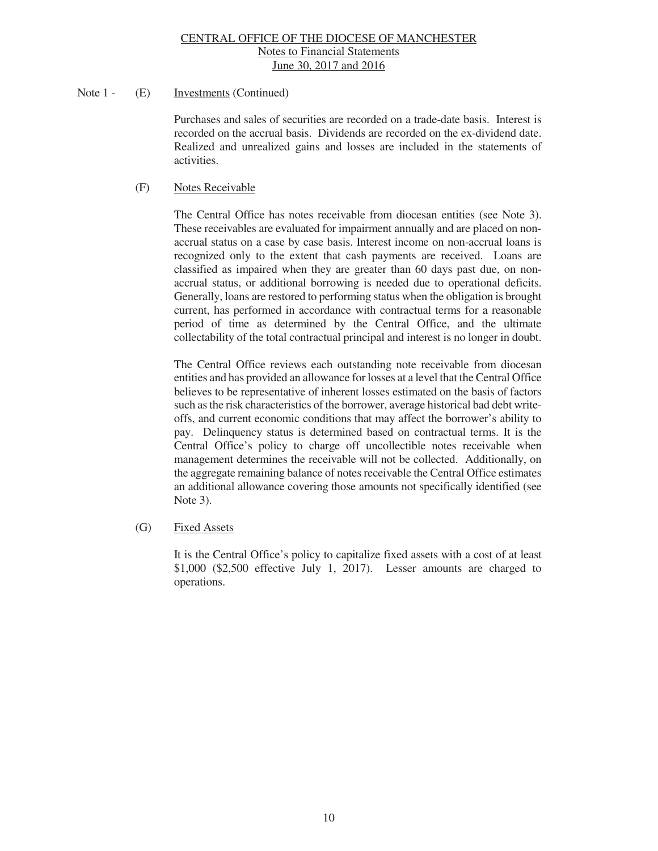# Note 1 - (E) Investments (Continued)

Purchases and sales of securities are recorded on a trade-date basis. Interest is recorded on the accrual basis. Dividends are recorded on the ex-dividend date. Realized and unrealized gains and losses are included in the statements of activities.

# (F) Notes Receivable

The Central Office has notes receivable from diocesan entities (see Note 3). These receivables are evaluated for impairment annually and are placed on nonaccrual status on a case by case basis. Interest income on non-accrual loans is recognized only to the extent that cash payments are received. Loans are classified as impaired when they are greater than 60 days past due, on nonaccrual status, or additional borrowing is needed due to operational deficits. Generally, loans are restored to performing status when the obligation is brought current, has performed in accordance with contractual terms for a reasonable period of time as determined by the Central Office, and the ultimate collectability of the total contractual principal and interest is no longer in doubt.

The Central Office reviews each outstanding note receivable from diocesan entities and has provided an allowance for losses at a level that the Central Office believes to be representative of inherent losses estimated on the basis of factors such as the risk characteristics of the borrower, average historical bad debt writeoffs, and current economic conditions that may affect the borrower's ability to pay. Delinquency status is determined based on contractual terms. It is the Central Office's policy to charge off uncollectible notes receivable when management determines the receivable will not be collected. Additionally, on the aggregate remaining balance of notes receivable the Central Office estimates an additional allowance covering those amounts not specifically identified (see Note 3).

# (G) Fixed Assets

 It is the Central Office's policy to capitalize fixed assets with a cost of at least \$1,000 (\$2,500 effective July 1, 2017). Lesser amounts are charged to operations.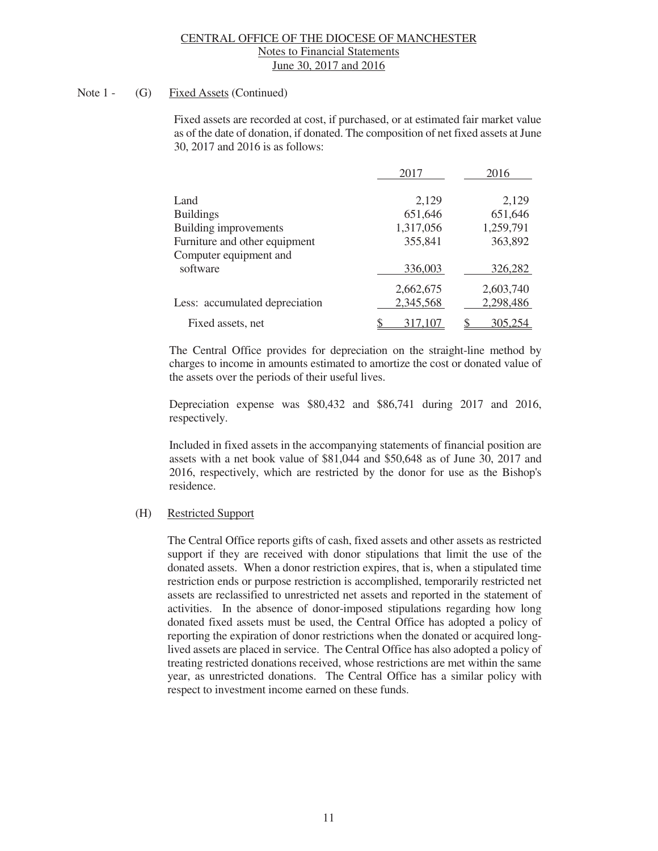# Note 1 - (G) Fixed Assets (Continued)

 Fixed assets are recorded at cost, if purchased, or at estimated fair market value as of the date of donation, if donated. The composition of net fixed assets at June 30, 2017 and 2016 is as follows:

|                                    | 2017                   | 2016                   |
|------------------------------------|------------------------|------------------------|
| Land                               | 2,129                  | 2,129                  |
| <b>Buildings</b>                   | 651,646                | 651,646                |
| Building improvements              | 1,317,056              | 1,259,791              |
| Furniture and other equipment      | 355,841                | 363,892                |
| Computer equipment and<br>software | 336,003                | 326,282                |
| Less: accumulated depreciation     | 2,662,675<br>2,345,568 | 2,603,740<br>2,298,486 |
| Fixed assets, net                  | 317,107                | 305,254                |

 The Central Office provides for depreciation on the straight-line method by charges to income in amounts estimated to amortize the cost or donated value of the assets over the periods of their useful lives.

 Depreciation expense was \$80,432 and \$86,741 during 2017 and 2016, respectively.

 Included in fixed assets in the accompanying statements of financial position are assets with a net book value of \$81,044 and \$50,648 as of June 30, 2017 and 2016, respectively, which are restricted by the donor for use as the Bishop's residence.

# (H) Restricted Support

 The Central Office reports gifts of cash, fixed assets and other assets as restricted support if they are received with donor stipulations that limit the use of the donated assets. When a donor restriction expires, that is, when a stipulated time restriction ends or purpose restriction is accomplished, temporarily restricted net assets are reclassified to unrestricted net assets and reported in the statement of activities. In the absence of donor-imposed stipulations regarding how long donated fixed assets must be used, the Central Office has adopted a policy of reporting the expiration of donor restrictions when the donated or acquired longlived assets are placed in service. The Central Office has also adopted a policy of treating restricted donations received, whose restrictions are met within the same year, as unrestricted donations. The Central Office has a similar policy with respect to investment income earned on these funds.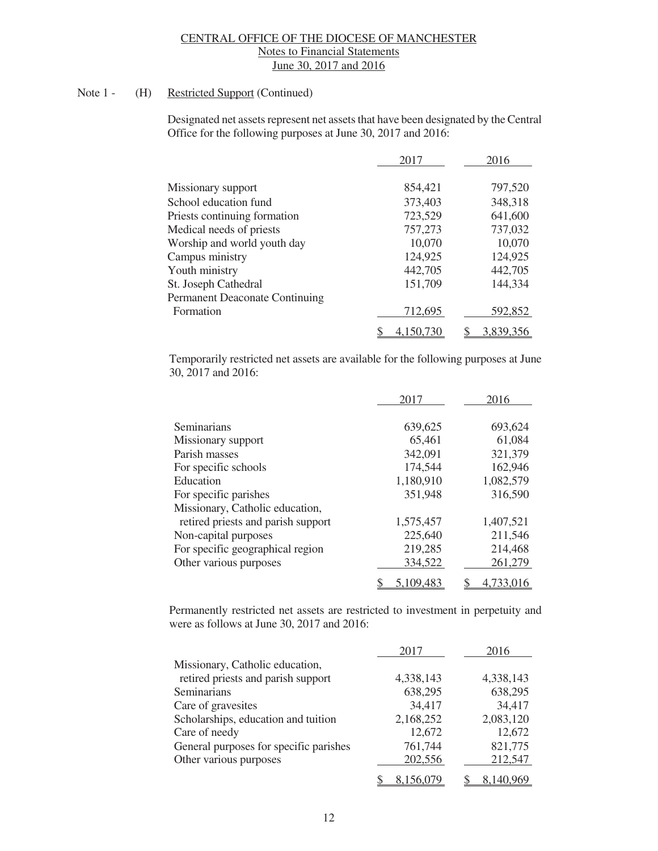# Note 1 - (H) Restricted Support (Continued)

 Designated net assets represent net assets that have been designated by the Central Office for the following purposes at June 30, 2017 and 2016:

|                                       | 2017      | 2016      |
|---------------------------------------|-----------|-----------|
| Missionary support                    | 854,421   | 797,520   |
| School education fund                 | 373,403   | 348,318   |
| Priests continuing formation          | 723,529   | 641,600   |
| Medical needs of priests              | 757,273   | 737,032   |
| Worship and world youth day           | 10,070    | 10,070    |
| Campus ministry                       | 124,925   | 124,925   |
| Youth ministry                        | 442,705   | 442,705   |
| St. Joseph Cathedral                  | 151,709   | 144,334   |
| <b>Permanent Deaconate Continuing</b> |           |           |
| Formation                             | 712,695   | 592,852   |
|                                       | 4.150.730 | 3,839,356 |

Temporarily restricted net assets are available for the following purposes at June 30, 2017 and 2016:

|                                    | 2017      | 2016      |
|------------------------------------|-----------|-----------|
| Seminarians                        | 639,625   | 693,624   |
| Missionary support                 | 65,461    | 61,084    |
| Parish masses                      | 342,091   | 321,379   |
| For specific schools               | 174,544   | 162,946   |
| Education                          | 1,180,910 | 1,082,579 |
| For specific parishes              | 351,948   | 316,590   |
| Missionary, Catholic education,    |           |           |
| retired priests and parish support | 1,575,457 | 1,407,521 |
| Non-capital purposes               | 225,640   | 211,546   |
| For specific geographical region   | 219,285   | 214,468   |
| Other various purposes             | 334,522   | 261,279   |
|                                    | 5,109,483 | 4.733.016 |

Permanently restricted net assets are restricted to investment in perpetuity and were as follows at June 30, 2017 and 2016:

|                                        | 2017      | 2016             |
|----------------------------------------|-----------|------------------|
| Missionary, Catholic education,        |           |                  |
| retired priests and parish support     | 4,338,143 | 4,338,143        |
| Seminarians                            | 638,295   | 638,295          |
| Care of gravesites                     | 34,417    | 34,417           |
| Scholarships, education and tuition    | 2,168,252 | 2,083,120        |
| Care of needy                          | 12,672    | 12,672           |
| General purposes for specific parishes | 761,744   | 821,775          |
| Other various purposes                 | 202,556   | 212,547          |
|                                        |           | <u>8,140,969</u> |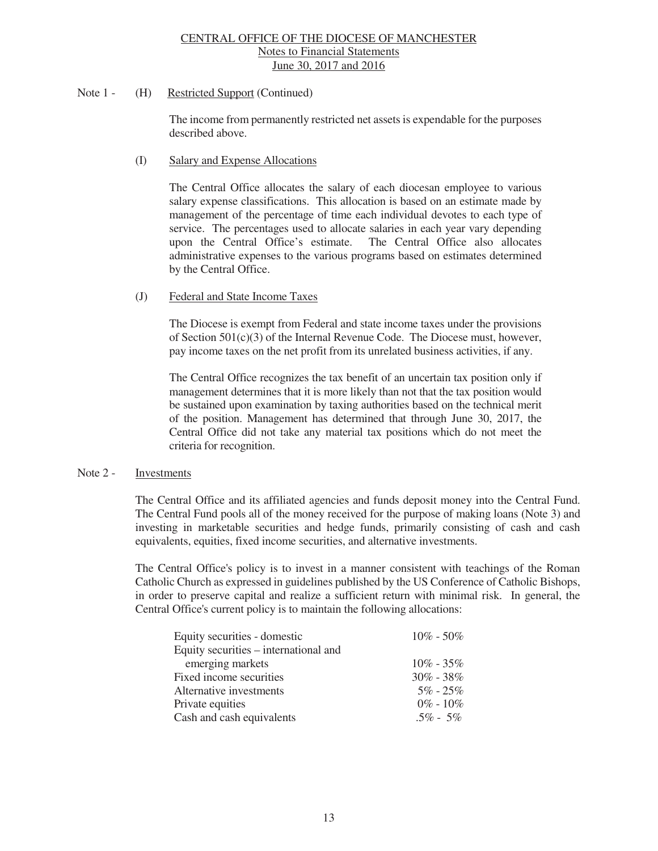#### Note 1 - (H) Restricted Support (Continued)

The income from permanently restricted net assets is expendable for the purposes described above.

#### (I) Salary and Expense Allocations

The Central Office allocates the salary of each diocesan employee to various salary expense classifications. This allocation is based on an estimate made by management of the percentage of time each individual devotes to each type of service. The percentages used to allocate salaries in each year vary depending upon the Central Office's estimate. The Central Office also allocates administrative expenses to the various programs based on estimates determined by the Central Office.

### (J) Federal and State Income Taxes

The Diocese is exempt from Federal and state income taxes under the provisions of Section 501(c)(3) of the Internal Revenue Code. The Diocese must, however, pay income taxes on the net profit from its unrelated business activities, if any.

The Central Office recognizes the tax benefit of an uncertain tax position only if management determines that it is more likely than not that the tax position would be sustained upon examination by taxing authorities based on the technical merit of the position. Management has determined that through June 30, 2017, the Central Office did not take any material tax positions which do not meet the criteria for recognition.

# Note 2 - Investments

 The Central Office and its affiliated agencies and funds deposit money into the Central Fund. The Central Fund pools all of the money received for the purpose of making loans (Note 3) and investing in marketable securities and hedge funds, primarily consisting of cash and cash equivalents, equities, fixed income securities, and alternative investments.

 The Central Office's policy is to invest in a manner consistent with teachings of the Roman Catholic Church as expressed in guidelines published by the US Conference of Catholic Bishops, in order to preserve capital and realize a sufficient return with minimal risk. In general, the Central Office's current policy is to maintain the following allocations:

| Equity securities - domestic          | $10\% - 50\%$ |
|---------------------------------------|---------------|
| Equity securities – international and |               |
| emerging markets                      | $10\% - 35\%$ |
| Fixed income securities               | $30\% - 38\%$ |
| Alternative investments               | $5\% - 25\%$  |
| Private equities                      | $0\% - 10\%$  |
| Cash and cash equivalents             | $.5\% - 5\%$  |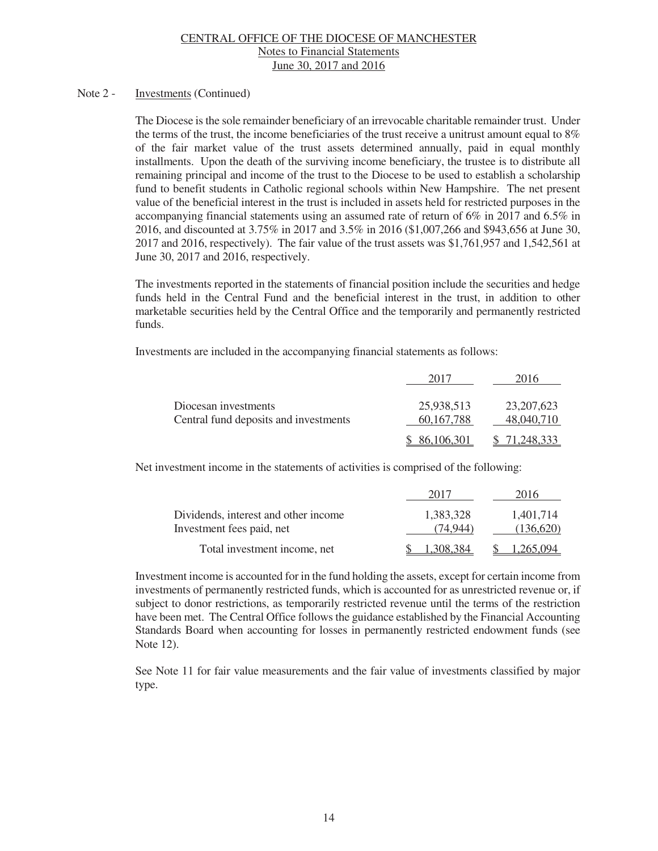#### Note 2 - Investments (Continued)

 The Diocese is the sole remainder beneficiary of an irrevocable charitable remainder trust. Under the terms of the trust, the income beneficiaries of the trust receive a unitrust amount equal to 8% of the fair market value of the trust assets determined annually, paid in equal monthly installments. Upon the death of the surviving income beneficiary, the trustee is to distribute all remaining principal and income of the trust to the Diocese to be used to establish a scholarship fund to benefit students in Catholic regional schools within New Hampshire. The net present value of the beneficial interest in the trust is included in assets held for restricted purposes in the accompanying financial statements using an assumed rate of return of 6% in 2017 and 6.5% in 2016, and discounted at 3.75% in 2017 and 3.5% in 2016 (\$1,007,266 and \$943,656 at June 30, 2017 and 2016, respectively). The fair value of the trust assets was \$1,761,957 and 1,542,561 at June 30, 2017 and 2016, respectively.

 The investments reported in the statements of financial position include the securities and hedge funds held in the Central Fund and the beneficial interest in the trust, in addition to other marketable securities held by the Central Office and the temporarily and permanently restricted funds.

Investments are included in the accompanying financial statements as follows:

|                                                               | 201′                       | 2016                       |
|---------------------------------------------------------------|----------------------------|----------------------------|
| Diocesan investments<br>Central fund deposits and investments | 25,938,513<br>60, 167, 788 | 23, 207, 623<br>48,040,710 |
|                                                               | \$86,106,301               | 71.248.333                 |

Net investment income in the statements of activities is comprised of the following:

|                                                                   | 2017                  | 2016                   |
|-------------------------------------------------------------------|-----------------------|------------------------|
| Dividends, interest and other income<br>Investment fees paid, net | 1.383.328<br>(74.944) | 1.401.714<br>(136,620) |
| Total investment income, net                                      | .308.384              | 1.265.094              |

Investment income is accounted for in the fund holding the assets, except for certain income from investments of permanently restricted funds, which is accounted for as unrestricted revenue or, if subject to donor restrictions, as temporarily restricted revenue until the terms of the restriction have been met. The Central Office follows the guidance established by the Financial Accounting Standards Board when accounting for losses in permanently restricted endowment funds (see Note 12).

 See Note 11 for fair value measurements and the fair value of investments classified by major type.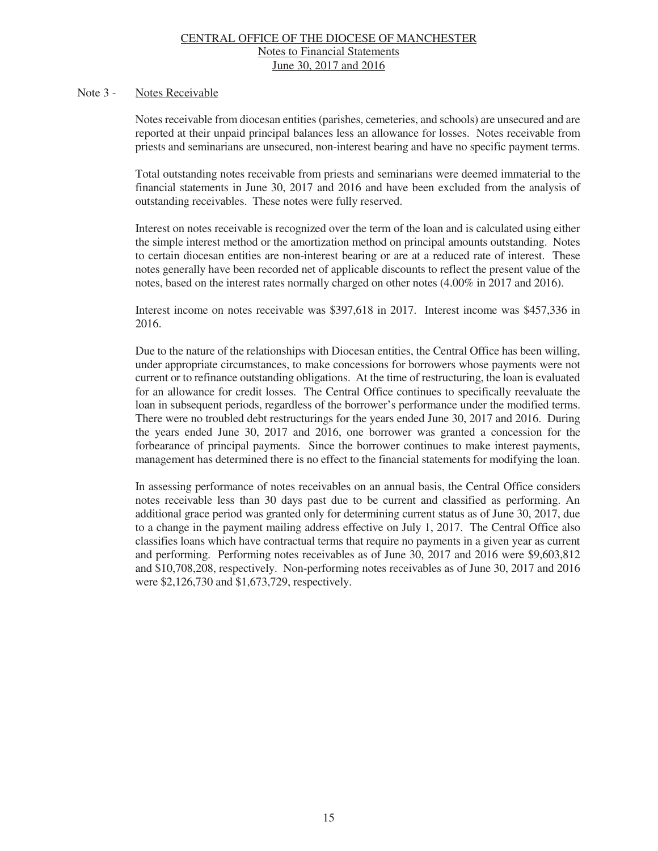#### Note 3 - Notes Receivable

Notes receivable from diocesan entities (parishes, cemeteries, and schools) are unsecured and are reported at their unpaid principal balances less an allowance for losses. Notes receivable from priests and seminarians are unsecured, non-interest bearing and have no specific payment terms.

Total outstanding notes receivable from priests and seminarians were deemed immaterial to the financial statements in June 30, 2017 and 2016 and have been excluded from the analysis of outstanding receivables. These notes were fully reserved.

Interest on notes receivable is recognized over the term of the loan and is calculated using either the simple interest method or the amortization method on principal amounts outstanding. Notes to certain diocesan entities are non-interest bearing or are at a reduced rate of interest. These notes generally have been recorded net of applicable discounts to reflect the present value of the notes, based on the interest rates normally charged on other notes (4.00% in 2017 and 2016).

Interest income on notes receivable was \$397,618 in 2017. Interest income was \$457,336 in 2016.

Due to the nature of the relationships with Diocesan entities, the Central Office has been willing, under appropriate circumstances, to make concessions for borrowers whose payments were not current or to refinance outstanding obligations. At the time of restructuring, the loan is evaluated for an allowance for credit losses. The Central Office continues to specifically reevaluate the loan in subsequent periods, regardless of the borrower's performance under the modified terms. There were no troubled debt restructurings for the years ended June 30, 2017 and 2016. During the years ended June 30, 2017 and 2016, one borrower was granted a concession for the forbearance of principal payments. Since the borrower continues to make interest payments, management has determined there is no effect to the financial statements for modifying the loan.

In assessing performance of notes receivables on an annual basis, the Central Office considers notes receivable less than 30 days past due to be current and classified as performing. An additional grace period was granted only for determining current status as of June 30, 2017, due to a change in the payment mailing address effective on July 1, 2017. The Central Office also classifies loans which have contractual terms that require no payments in a given year as current and performing. Performing notes receivables as of June 30, 2017 and 2016 were \$9,603,812 and \$10,708,208, respectively. Non-performing notes receivables as of June 30, 2017 and 2016 were \$2,126,730 and \$1,673,729, respectively.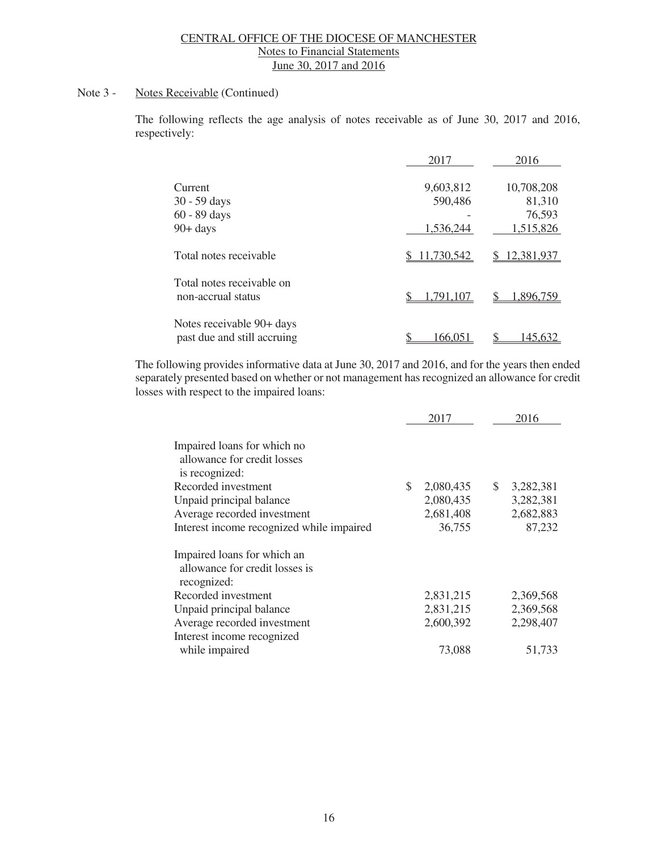# Note 3 - Notes Receivable (Continued)

The following reflects the age analysis of notes receivable as of June 30, 2017 and 2016, respectively:

|                                                          | 2017         | 2016             |
|----------------------------------------------------------|--------------|------------------|
| Current                                                  | 9,603,812    | 10,708,208       |
| 30 - 59 days                                             | 590,486      | 81,310           |
| 60 - 89 days                                             |              | 76,593           |
| $90 + days$                                              | 1,536,244    | 1,515,826        |
| Total notes receivable                                   | \$11,730,542 | 12,381,937<br>S. |
| Total notes receivable on<br>non-accrual status          | 1,791,107    | 1,896,759        |
| Notes receivable 90+ days<br>past due and still accruing | 166,051      | 145,632          |

The following provides informative data at June 30, 2017 and 2016, and for the years then ended separately presented based on whether or not management has recognized an allowance for credit losses with respect to the impaired loans:

|                                                                              |     | 2017      |               | 2016      |
|------------------------------------------------------------------------------|-----|-----------|---------------|-----------|
| Impaired loans for which no<br>allowance for credit losses<br>is recognized: |     |           |               |           |
| Recorded investment                                                          | \$. | 2,080,435 | <sup>\$</sup> | 3,282,381 |
| Unpaid principal balance                                                     |     | 2,080,435 |               | 3,282,381 |
| Average recorded investment                                                  |     | 2,681,408 |               | 2,682,883 |
| Interest income recognized while impaired                                    |     | 36,755    |               | 87,232    |
| Impaired loans for which an<br>allowance for credit losses is                |     |           |               |           |
| recognized:                                                                  |     |           |               |           |
| Recorded investment                                                          |     | 2,831,215 |               | 2,369,568 |
| Unpaid principal balance                                                     |     | 2,831,215 |               | 2,369,568 |
| Average recorded investment<br>Interest income recognized                    |     | 2,600,392 |               | 2,298,407 |
| while impaired                                                               |     | 73,088    |               | 51,733    |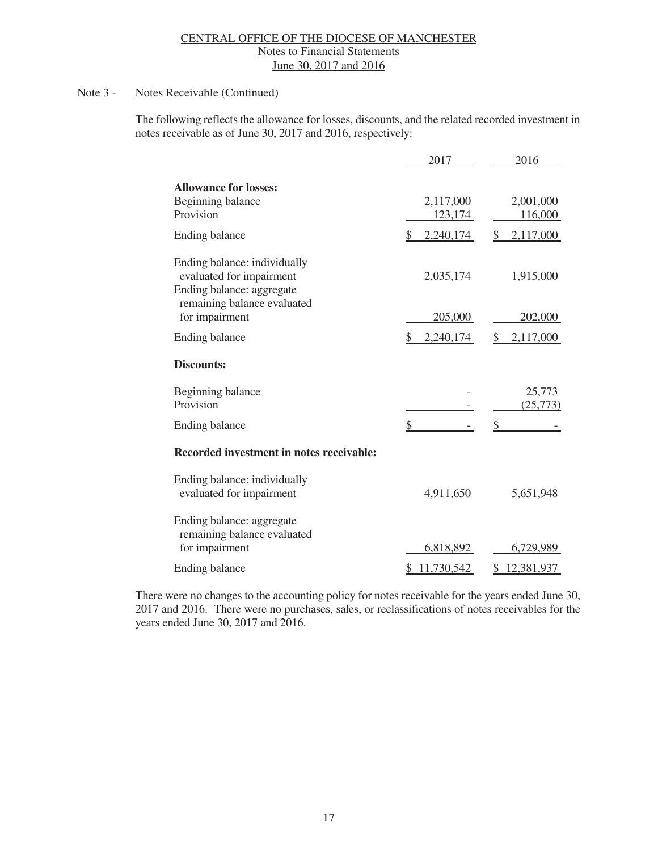# Note 3 - Notes Receivable (Continued)

The following reflects the allowance for losses, discounts, and the related recorded investment in notes receivable as of June 30, 2017 and 2016, respectively:

|                                                                                                                                        | 2017                 | 2016                         |
|----------------------------------------------------------------------------------------------------------------------------------------|----------------------|------------------------------|
| <b>Allowance for losses:</b><br>Beginning balance<br>Provision                                                                         | 2,117,000<br>123,174 | 2,001,000<br>116,000         |
| Ending balance                                                                                                                         | 2,240,174            | 2,117,000<br>\$              |
| Ending balance: individually<br>evaluated for impairment<br>Ending balance: aggregate<br>remaining balance evaluated<br>for impairment | 2,035,174<br>205,000 | 1,915,000<br>202,000         |
|                                                                                                                                        |                      |                              |
| <b>Ending balance</b>                                                                                                                  | 2,240,174            | 2,117,000<br>\$              |
| <b>Discounts:</b>                                                                                                                      |                      |                              |
| Beginning balance<br>Provision                                                                                                         |                      | 25,773<br>(25, 773)          |
| Ending balance                                                                                                                         |                      |                              |
| Recorded investment in notes receivable:                                                                                               |                      |                              |
| Ending balance: individually<br>evaluated for impairment                                                                               | 4,911,650            | 5,651,948                    |
| Ending balance: aggregate<br>remaining balance evaluated<br>for impairment                                                             | 6,818,892            | 6,729,989                    |
| <b>Ending balance</b>                                                                                                                  | 11,730,542           | 12,381,937<br>$\mathbb{S}^-$ |
|                                                                                                                                        |                      |                              |

There were no changes to the accounting policy for notes receivable for the years ended June 30, 2017 and 2016. There were no purchases, sales, or reclassifications of notes receivables for the years ended June 30, 2017 and 2016.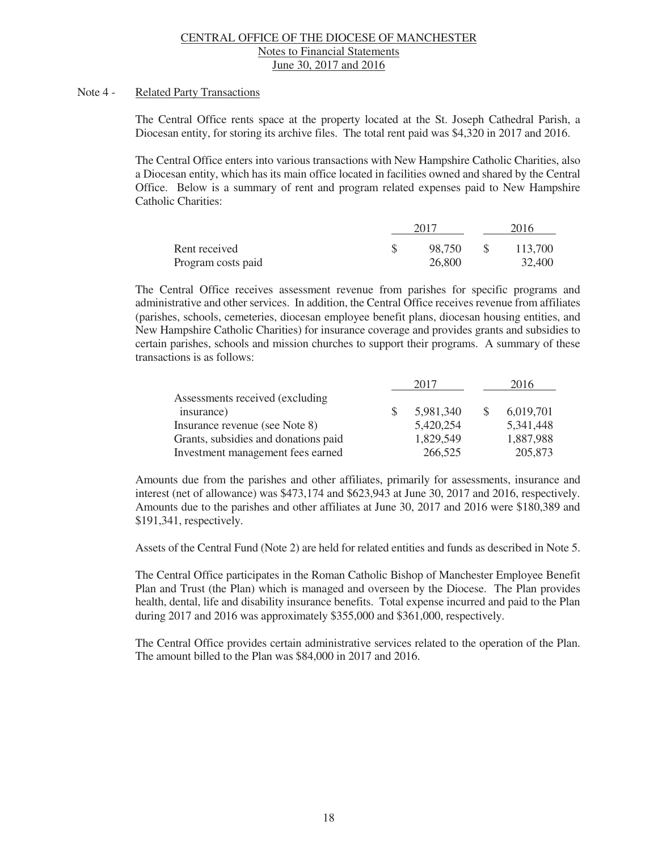#### Note 4 - Related Party Transactions

 The Central Office rents space at the property located at the St. Joseph Cathedral Parish, a Diocesan entity, for storing its archive files. The total rent paid was \$4,320 in 2017 and 2016.

 The Central Office enters into various transactions with New Hampshire Catholic Charities, also a Diocesan entity, which has its main office located in facilities owned and shared by the Central Office. Below is a summary of rent and program related expenses paid to New Hampshire Catholic Charities:

|                    | 2017   |              | 2016    |
|--------------------|--------|--------------|---------|
| Rent received      | 98,750 | <sup>S</sup> | 113,700 |
| Program costs paid | 26,800 |              | 32,400  |

 The Central Office receives assessment revenue from parishes for specific programs and administrative and other services. In addition, the Central Office receives revenue from affiliates (parishes, schools, cemeteries, diocesan employee benefit plans, diocesan housing entities, and New Hampshire Catholic Charities) for insurance coverage and provides grants and subsidies to certain parishes, schools and mission churches to support their programs. A summary of these transactions is as follows:

|                                      | 2017      | 2016        |
|--------------------------------------|-----------|-------------|
| Assessments received (excluding)     |           |             |
| insurance)                           | 5,981,340 | 6,019,701   |
| Insurance revenue (see Note 8)       | 5,420,254 | 5, 341, 448 |
| Grants, subsidies and donations paid | 1,829,549 | 1,887,988   |
| Investment management fees earned    | 266,525   | 205,873     |

 Amounts due from the parishes and other affiliates, primarily for assessments, insurance and interest (net of allowance) was \$473,174 and \$623,943 at June 30, 2017 and 2016, respectively. Amounts due to the parishes and other affiliates at June 30, 2017 and 2016 were \$180,389 and \$191,341, respectively.

Assets of the Central Fund (Note 2) are held for related entities and funds as described in Note 5.

The Central Office participates in the Roman Catholic Bishop of Manchester Employee Benefit Plan and Trust (the Plan) which is managed and overseen by the Diocese. The Plan provides health, dental, life and disability insurance benefits. Total expense incurred and paid to the Plan during 2017 and 2016 was approximately \$355,000 and \$361,000, respectively.

The Central Office provides certain administrative services related to the operation of the Plan. The amount billed to the Plan was \$84,000 in 2017 and 2016.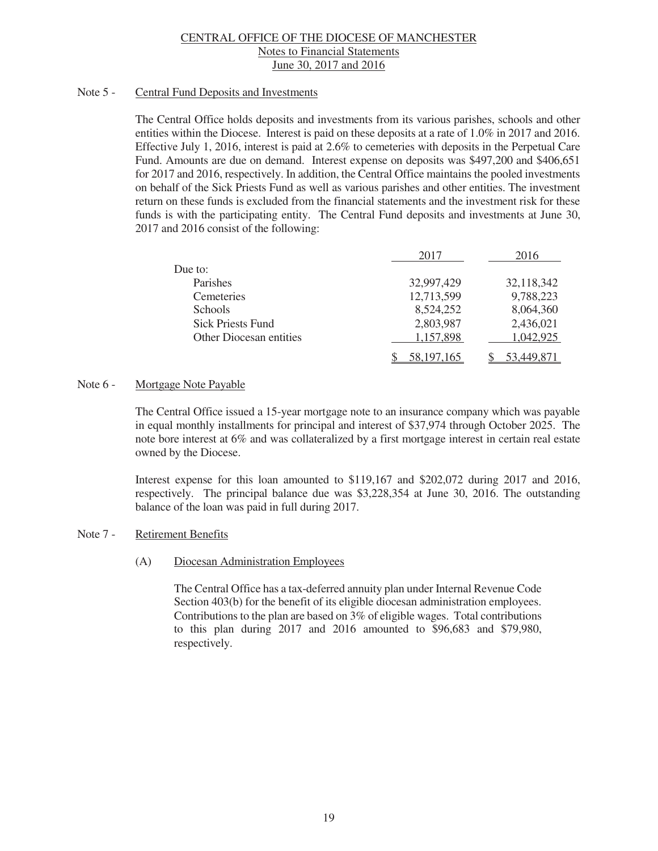#### Note 5 - Central Fund Deposits and Investments

 The Central Office holds deposits and investments from its various parishes, schools and other entities within the Diocese. Interest is paid on these deposits at a rate of 1.0% in 2017 and 2016. Effective July 1, 2016, interest is paid at 2.6% to cemeteries with deposits in the Perpetual Care Fund. Amounts are due on demand. Interest expense on deposits was \$497,200 and \$406,651 for 2017 and 2016, respectively. In addition, the Central Office maintains the pooled investments on behalf of the Sick Priests Fund as well as various parishes and other entities. The investment return on these funds is excluded from the financial statements and the investment risk for these funds is with the participating entity. The Central Fund deposits and investments at June 30, 2017 and 2016 consist of the following:

|                                | 2017       | 2016       |
|--------------------------------|------------|------------|
| Due to:                        |            |            |
| Parishes                       | 32,997,429 | 32,118,342 |
| Cemeteries                     | 12,713,599 | 9,788,223  |
| Schools                        | 8,524,252  | 8,064,360  |
| <b>Sick Priests Fund</b>       | 2,803,987  | 2,436,021  |
| <b>Other Diocesan entities</b> | 1,157,898  | 1,042,925  |
|                                | 58,197,165 | 53,449,871 |

# Note 6 - Mortgage Note Payable

The Central Office issued a 15-year mortgage note to an insurance company which was payable in equal monthly installments for principal and interest of \$37,974 through October 2025. The note bore interest at 6% and was collateralized by a first mortgage interest in certain real estate owned by the Diocese.

Interest expense for this loan amounted to \$119,167 and \$202,072 during 2017 and 2016, respectively. The principal balance due was \$3,228,354 at June 30, 2016. The outstanding balance of the loan was paid in full during 2017.

# Note 7 - Retirement Benefits

(A) Diocesan Administration Employees

The Central Office has a tax-deferred annuity plan under Internal Revenue Code Section 403(b) for the benefit of its eligible diocesan administration employees. Contributions to the plan are based on 3% of eligible wages. Total contributions to this plan during 2017 and 2016 amounted to \$96,683 and \$79,980, respectively.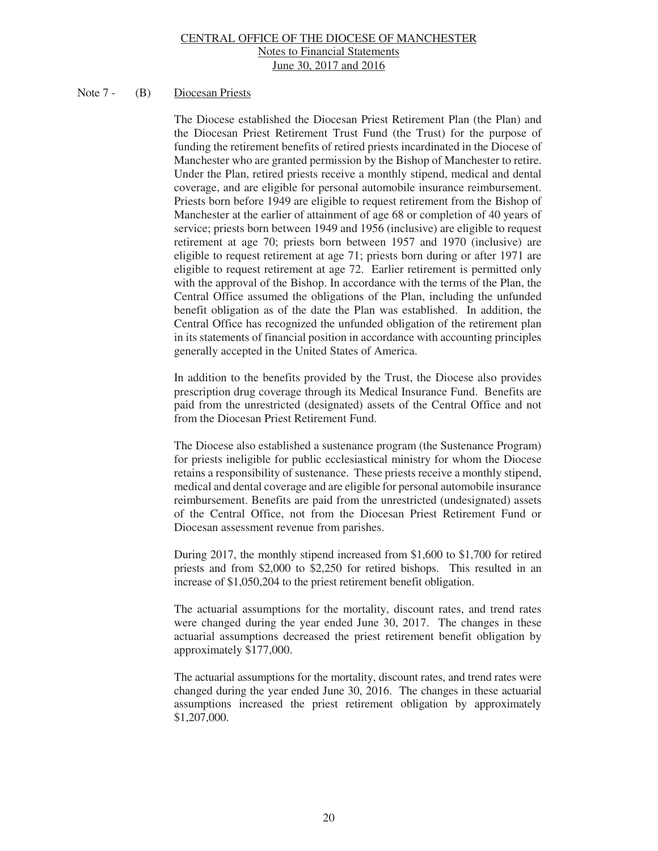# Note 7 - (B) Diocesan Priests

The Diocese established the Diocesan Priest Retirement Plan (the Plan) and the Diocesan Priest Retirement Trust Fund (the Trust) for the purpose of funding the retirement benefits of retired priests incardinated in the Diocese of Manchester who are granted permission by the Bishop of Manchester to retire. Under the Plan, retired priests receive a monthly stipend, medical and dental coverage, and are eligible for personal automobile insurance reimbursement. Priests born before 1949 are eligible to request retirement from the Bishop of Manchester at the earlier of attainment of age 68 or completion of 40 years of service; priests born between 1949 and 1956 (inclusive) are eligible to request retirement at age 70; priests born between 1957 and 1970 (inclusive) are eligible to request retirement at age 71; priests born during or after 1971 are eligible to request retirement at age 72. Earlier retirement is permitted only with the approval of the Bishop. In accordance with the terms of the Plan, the Central Office assumed the obligations of the Plan, including the unfunded benefit obligation as of the date the Plan was established. In addition, the Central Office has recognized the unfunded obligation of the retirement plan in its statements of financial position in accordance with accounting principles generally accepted in the United States of America.

In addition to the benefits provided by the Trust, the Diocese also provides prescription drug coverage through its Medical Insurance Fund. Benefits are paid from the unrestricted (designated) assets of the Central Office and not from the Diocesan Priest Retirement Fund.

The Diocese also established a sustenance program (the Sustenance Program) for priests ineligible for public ecclesiastical ministry for whom the Diocese retains a responsibility of sustenance. These priests receive a monthly stipend, medical and dental coverage and are eligible for personal automobile insurance reimbursement. Benefits are paid from the unrestricted (undesignated) assets of the Central Office, not from the Diocesan Priest Retirement Fund or Diocesan assessment revenue from parishes.

During 2017, the monthly stipend increased from \$1,600 to \$1,700 for retired priests and from \$2,000 to \$2,250 for retired bishops. This resulted in an increase of \$1,050,204 to the priest retirement benefit obligation.

The actuarial assumptions for the mortality, discount rates, and trend rates were changed during the year ended June 30, 2017. The changes in these actuarial assumptions decreased the priest retirement benefit obligation by approximately \$177,000.

The actuarial assumptions for the mortality, discount rates, and trend rates were changed during the year ended June 30, 2016. The changes in these actuarial assumptions increased the priest retirement obligation by approximately \$1,207,000.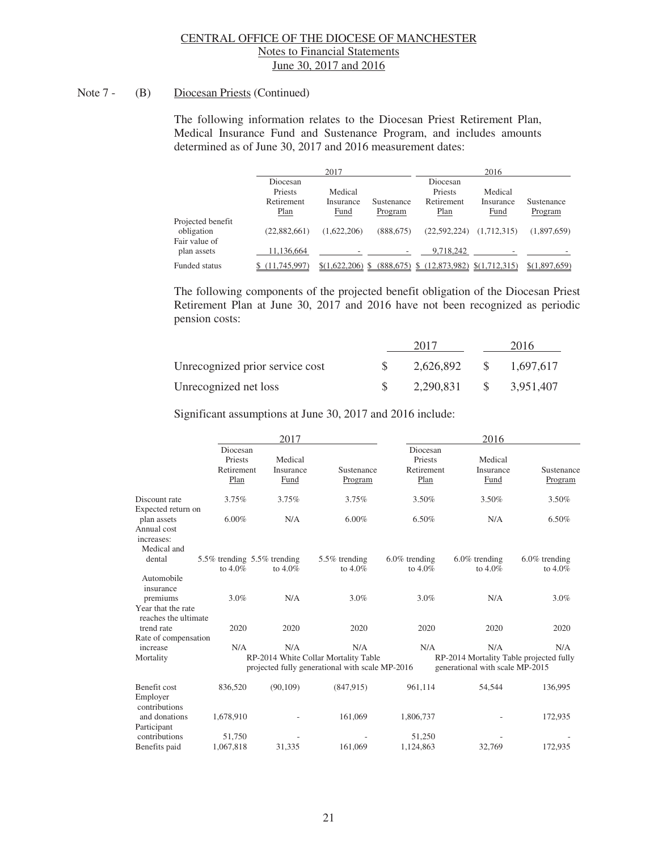#### Note 7 - (B) Diocesan Priests (Continued)

The following information relates to the Diocesan Priest Retirement Plan, Medical Insurance Fund and Sustenance Program, and includes amounts determined as of June 30, 2017 and 2016 measurement dates:

|                                                  |                                           | 2017                         |                       |                                           | 2016                                |                       |
|--------------------------------------------------|-------------------------------------------|------------------------------|-----------------------|-------------------------------------------|-------------------------------------|-----------------------|
|                                                  | Diocesan<br>Priests<br>Retirement<br>Plan | Medical<br>Insurance<br>Fund | Sustenance<br>Program | Diocesan<br>Priests<br>Retirement<br>Plan | Medical<br>Insurance<br><b>Fund</b> | Sustenance<br>Program |
| Projected benefit<br>obligation<br>Fair value of | (22,882,661)                              | (1,622,206)                  | (888, 675)            | (22,592,224)                              | (1,712,315)                         | (1,897,659)           |
| plan assets                                      | 11.136.664                                |                              |                       | 9,718,242                                 |                                     |                       |
| Funded status                                    | (11.745.997)                              | $(1,622,206)$ \$             | (888, 675)            | (12,873,982)                              | \$(1,712,315)                       | \$(1,897,659)         |

The following components of the projected benefit obligation of the Diocesan Priest Retirement Plan at June 30, 2017 and 2016 have not been recognized as periodic pension costs:

|                                 | 2017      |              | 2016      |
|---------------------------------|-----------|--------------|-----------|
| Unrecognized prior service cost | 2,626,892 | S.           | 1,697,617 |
| Unrecognized net loss           | 2,290,831 | $\mathbf{s}$ | 3.951.407 |

Significant assumptions at June 30, 2017 and 2016 include:

|                                                         |                                           | 2017              |                                                                                                |                                | 2016                                                                              |                             |
|---------------------------------------------------------|-------------------------------------------|-------------------|------------------------------------------------------------------------------------------------|--------------------------------|-----------------------------------------------------------------------------------|-----------------------------|
|                                                         | Diocesan<br>Priests                       | Medical           |                                                                                                | Diocesan<br>Priests            | Medical                                                                           |                             |
|                                                         | Retirement<br>Plan                        | Insurance<br>Fund | Sustenance<br>Program                                                                          | Retirement<br>Plan             | Insurance<br>Fund                                                                 | Sustenance<br>Program       |
| Discount rate<br>Expected return on                     | 3.75%                                     | 3.75%             | 3.75%                                                                                          | 3.50%                          | 3.50%                                                                             | 3.50%                       |
| plan assets<br>Annual cost<br>increases:<br>Medical and | 6.00%                                     | N/A               | $6.00\%$                                                                                       | 6.50%                          | N/A                                                                               | 6.50%                       |
| dental                                                  | 5.5% trending 5.5% trending<br>to $4.0\%$ | to $4.0\%$        | 5.5% trending<br>to $4.0\%$                                                                    | $6.0\%$ trending<br>to $4.0\%$ | $6.0\%$ trending<br>to $4.0\%$                                                    | $6.0\%$ trending<br>to 4.0% |
| Automobile<br>insurance<br>premiums                     | 3.0%                                      | N/A               | 3.0%                                                                                           | 3.0%                           | N/A                                                                               | 3.0%                        |
| Year that the rate<br>reaches the ultimate              |                                           |                   |                                                                                                |                                |                                                                                   |                             |
| trend rate<br>Rate of compensation                      | 2020                                      | 2020              | 2020                                                                                           | 2020                           | 2020                                                                              | 2020                        |
| increase<br>Mortality                                   | N/A                                       | N/A               | N/A<br>RP-2014 White Collar Mortality Table<br>projected fully generational with scale MP-2016 | N/A                            | N/A<br>RP-2014 Mortality Table projected fully<br>generational with scale MP-2015 | N/A                         |
| Benefit cost<br>Employer<br>contributions               | 836,520                                   | (90, 109)         | (847, 915)                                                                                     | 961,114                        | 54,544                                                                            | 136,995                     |
| and donations<br>Participant                            | 1,678,910                                 |                   | 161,069                                                                                        | 1,806,737                      |                                                                                   | 172,935                     |
| contributions<br>Benefits paid                          | 51,750<br>1,067,818                       | 31,335            | 161,069                                                                                        | 51,250<br>1,124,863            | 32,769                                                                            | 172,935                     |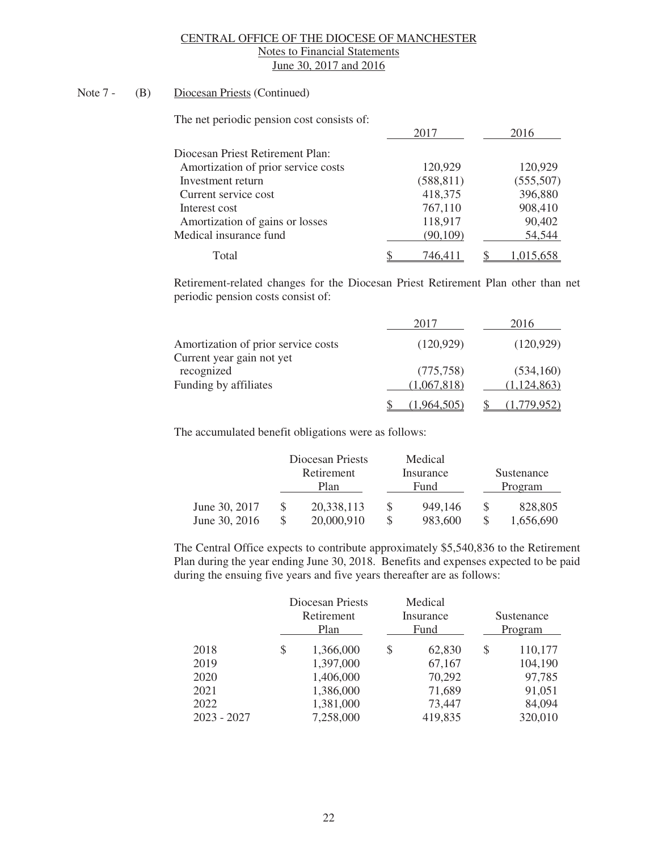# Note 7 - (B) Diocesan Priests (Continued)

The net periodic pension cost consists of:

|                                     | 2017       | 2016       |
|-------------------------------------|------------|------------|
| Diocesan Priest Retirement Plan:    |            |            |
| Amortization of prior service costs | 120,929    | 120,929    |
| Investment return                   | (588, 811) | (555, 507) |
| Current service cost                | 418,375    | 396,880    |
| Interest cost                       | 767,110    | 908,410    |
| Amortization of gains or losses     | 118,917    | 90,402     |
| Medical insurance fund              | (90, 109)  | 54,544     |
| Total                               | 746.411    | 1,015,658  |

Retirement-related changes for the Diocesan Priest Retirement Plan other than net periodic pension costs consist of:

|                                         | 2017        | 2016          |
|-----------------------------------------|-------------|---------------|
| Amortization of prior service costs     | (120, 929)  | (120, 929)    |
| Current year gain not yet<br>recognized | (775, 758)  | (534,160)     |
| Funding by affiliates                   | (1,067,818) | (1, 124, 863) |
|                                         | 1.964.505   |               |

The accumulated benefit obligations were as follows:

|               | Diocesan Priests<br>Retirement<br>Plan |            |   | Medical<br>Insurance<br>Fund | Sustenance<br>Program |
|---------------|----------------------------------------|------------|---|------------------------------|-----------------------|
| June 30, 2017 |                                        | 20,338,113 |   | 949.146                      | 828,805               |
| June 30, 2016 |                                        | 20,000,910 | S | 983.600                      | 1.656.690             |

The Central Office expects to contribute approximately \$5,540,836 to the Retirement Plan during the year ending June 30, 2018. Benefits and expenses expected to be paid during the ensuing five years and five years thereafter are as follows:

|               | Diocesan Priests<br>Retirement<br>Plan |           | Medical<br>Insurance<br>Fund |   | Sustenance<br>Program |  |
|---------------|----------------------------------------|-----------|------------------------------|---|-----------------------|--|
| 2018          | \$                                     | 1,366,000 | \$<br>62,830                 | S | 110,177               |  |
| 2019          |                                        | 1,397,000 | 67,167                       |   | 104,190               |  |
| 2020          |                                        | 1,406,000 | 70,292                       |   | 97,785                |  |
| 2021          |                                        | 1,386,000 | 71,689                       |   | 91,051                |  |
| 2022          |                                        | 1,381,000 | 73,447                       |   | 84,094                |  |
| $2023 - 2027$ |                                        | 7,258,000 | 419,835                      |   | 320,010               |  |
|               |                                        |           |                              |   |                       |  |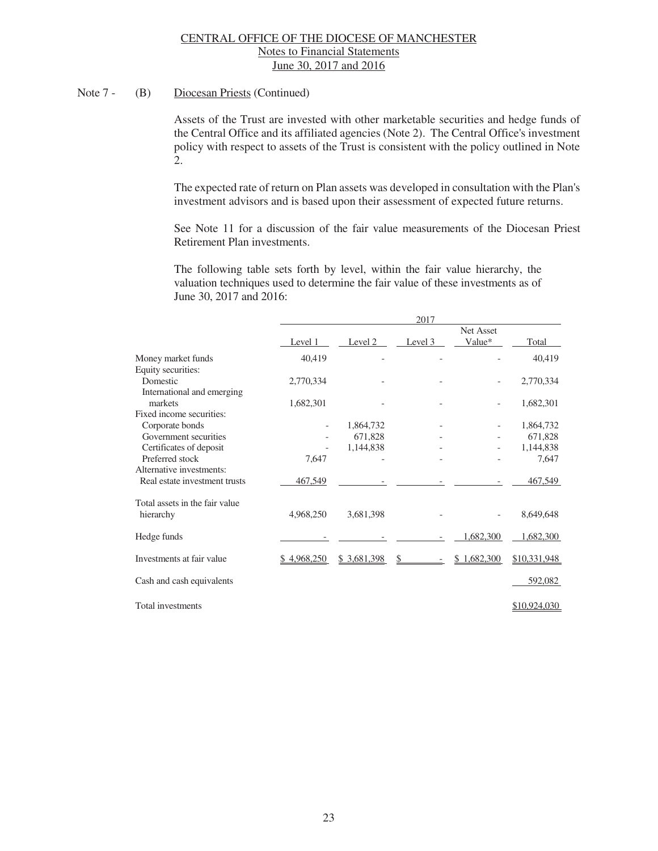# Note 7 - (B) Diocesan Priests (Continued)

 Assets of the Trust are invested with other marketable securities and hedge funds of the Central Office and its affiliated agencies (Note 2). The Central Office's investment policy with respect to assets of the Trust is consistent with the policy outlined in Note 2.

The expected rate of return on Plan assets was developed in consultation with the Plan's investment advisors and is based upon their assessment of expected future returns.

 See Note 11 for a discussion of the fair value measurements of the Diocesan Priest Retirement Plan investments.

 The following table sets forth by level, within the fair value hierarchy, the valuation techniques used to determine the fair value of these investments as of June 30, 2017 and 2016:

|                                |             |             | 2017    |                 |              |  |
|--------------------------------|-------------|-------------|---------|-----------------|--------------|--|
|                                |             |             |         | Net Asset       |              |  |
|                                | Level 1     | Level 2     | Level 3 | Value*          | Total        |  |
| Money market funds             | 40,419      |             |         |                 | 40,419       |  |
| Equity securities:             |             |             |         |                 |              |  |
| Domestic                       | 2,770,334   |             |         |                 | 2,770,334    |  |
| International and emerging     |             |             |         |                 |              |  |
| markets                        | 1,682,301   |             |         |                 | 1,682,301    |  |
| Fixed income securities:       |             |             |         |                 |              |  |
| Corporate bonds                |             | 1,864,732   |         |                 | 1,864,732    |  |
| Government securities          |             | 671,828     |         |                 | 671,828      |  |
| Certificates of deposit        |             | 1,144,838   |         |                 | 1,144,838    |  |
| Preferred stock                | 7,647       |             |         |                 | 7,647        |  |
| Alternative investments:       |             |             |         |                 |              |  |
| Real estate investment trusts  | 467,549     |             |         |                 | 467,549      |  |
| Total assets in the fair value |             |             |         |                 |              |  |
| hierarchy                      | 4,968,250   | 3,681,398   |         |                 | 8,649,648    |  |
| Hedge funds                    |             |             |         | 1,682,300       | 1,682,300    |  |
| Investments at fair value      | \$4,968,250 | \$3,681,398 | \$      | 1,682,300<br>\$ | \$10,331,948 |  |
| Cash and cash equivalents      |             |             |         |                 | 592,082      |  |
| Total investments              |             |             |         |                 | \$10,924,030 |  |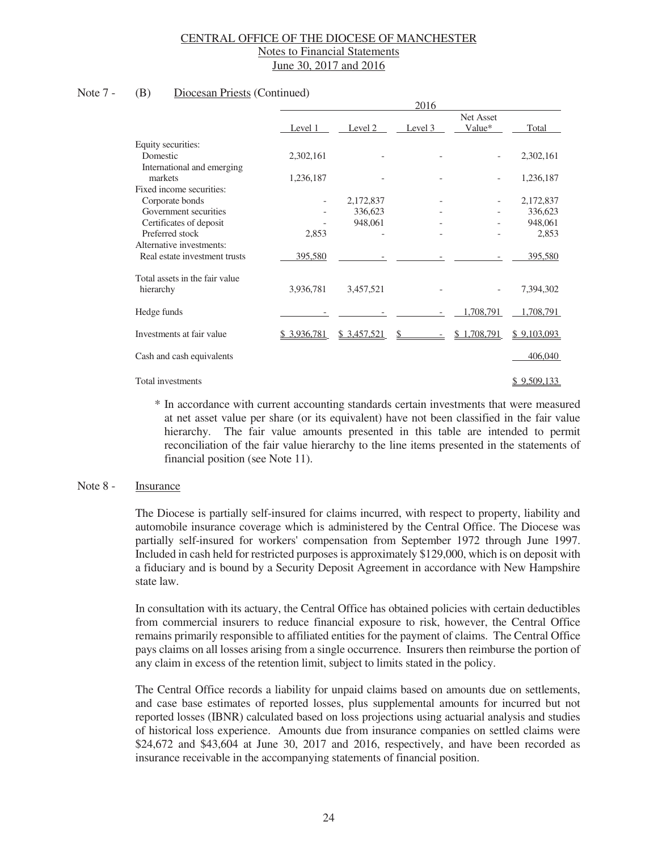#### Note 7 - (B) Diocesan Priests (Continued)

|                                |             |             | 2016    |                     |                    |
|--------------------------------|-------------|-------------|---------|---------------------|--------------------|
|                                | Level 1     | Level 2     | Level 3 | Net Asset<br>Value* | Total              |
| Equity securities:             |             |             |         |                     |                    |
| Domestic                       | 2,302,161   |             |         |                     | 2,302,161          |
| International and emerging     |             |             |         |                     |                    |
| markets                        | 1,236,187   |             |         |                     | 1,236,187          |
| Fixed income securities:       |             |             |         |                     |                    |
| Corporate bonds                |             | 2,172,837   |         |                     | 2,172,837          |
| Government securities          |             | 336,623     |         |                     | 336,623            |
| Certificates of deposit        |             | 948,061     |         |                     | 948,061            |
| Preferred stock                | 2,853       |             |         |                     | 2,853              |
| Alternative investments:       |             |             |         |                     |                    |
| Real estate investment trusts  | 395,580     |             |         |                     | 395,580            |
| Total assets in the fair value |             |             |         |                     |                    |
| hierarchy                      | 3,936,781   | 3,457,521   |         |                     | 7,394,302          |
| Hedge funds                    |             |             |         | 1,708,791           | 1,708,791          |
| Investments at fair value      | \$3,936,781 | \$3,457,521 | \$      | 1,708,791<br>\$     | \$9,103,093        |
| Cash and cash equivalents      |             |             |         |                     | 406,040            |
| Total investments              |             |             |         |                     | <u>\$9,509,133</u> |

\* In accordance with current accounting standards certain investments that were measured at net asset value per share (or its equivalent) have not been classified in the fair value hierarchy. The fair value amounts presented in this table are intended to permit reconciliation of the fair value hierarchy to the line items presented in the statements of financial position (see Note 11).

#### Note 8 - Insurance

 The Diocese is partially self-insured for claims incurred, with respect to property, liability and automobile insurance coverage which is administered by the Central Office. The Diocese was partially self-insured for workers' compensation from September 1972 through June 1997. Included in cash held for restricted purposes is approximately \$129,000, which is on deposit with a fiduciary and is bound by a Security Deposit Agreement in accordance with New Hampshire state law.

 In consultation with its actuary, the Central Office has obtained policies with certain deductibles from commercial insurers to reduce financial exposure to risk, however, the Central Office remains primarily responsible to affiliated entities for the payment of claims. The Central Office pays claims on all losses arising from a single occurrence. Insurers then reimburse the portion of any claim in excess of the retention limit, subject to limits stated in the policy.

 The Central Office records a liability for unpaid claims based on amounts due on settlements, and case base estimates of reported losses, plus supplemental amounts for incurred but not reported losses (IBNR) calculated based on loss projections using actuarial analysis and studies of historical loss experience. Amounts due from insurance companies on settled claims were \$24,672 and \$43,604 at June 30, 2017 and 2016, respectively, and have been recorded as insurance receivable in the accompanying statements of financial position.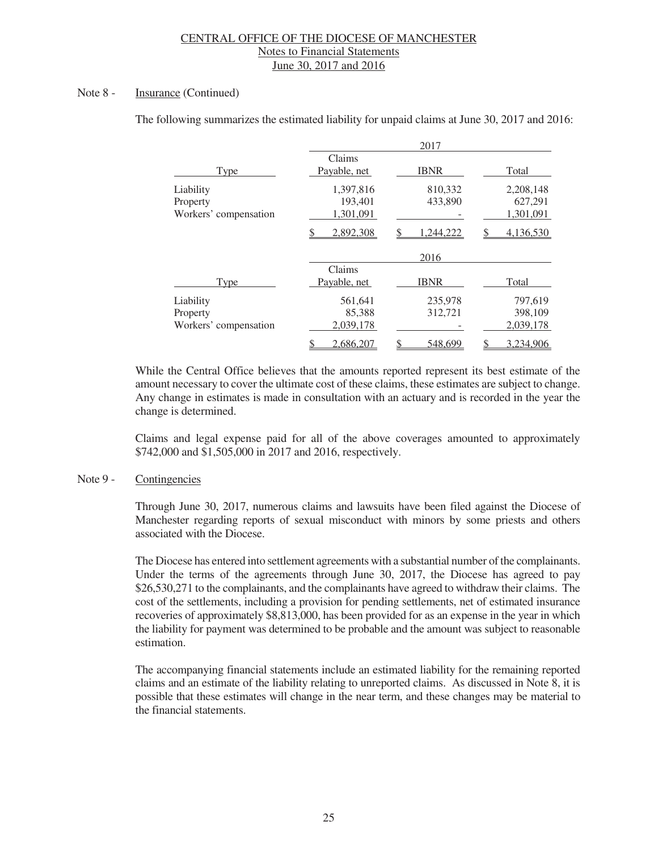#### Note 8 - Insurance (Continued)

|                                                |                                                     | 2017                                 |                                                |
|------------------------------------------------|-----------------------------------------------------|--------------------------------------|------------------------------------------------|
| <b>Type</b>                                    | Claims<br>Payable, net                              | <b>IBNR</b>                          | Total                                          |
| Liability<br>Property<br>Workers' compensation | 1,397,816<br>193,401<br>1,301,091<br>2,892,308<br>S | 810,332<br>433,890<br>1,244,222<br>S | 2,208,148<br>627,291<br>1,301,091<br>4,136,530 |
|                                                |                                                     | 2016                                 |                                                |
| <b>Type</b>                                    | Claims<br>Payable, net                              | <b>IBNR</b>                          | Total                                          |
| Liability<br>Property<br>Workers' compensation | 561,641<br>85,388<br>2,039,178                      | 235,978<br>312,721                   | 797,619<br>398,109<br>2,039,178                |
|                                                | 2,686,207<br>\$                                     | 548,699<br>D                         | 3,234,906<br>⊅                                 |

The following summarizes the estimated liability for unpaid claims at June 30, 2017 and 2016:

 While the Central Office believes that the amounts reported represent its best estimate of the amount necessary to cover the ultimate cost of these claims, these estimates are subject to change. Any change in estimates is made in consultation with an actuary and is recorded in the year the change is determined.

 Claims and legal expense paid for all of the above coverages amounted to approximately \$742,000 and \$1,505,000 in 2017 and 2016, respectively.

#### Note 9 - Contingencies

Through June 30, 2017, numerous claims and lawsuits have been filed against the Diocese of Manchester regarding reports of sexual misconduct with minors by some priests and others associated with the Diocese.

The Diocese has entered into settlement agreements with a substantial number of the complainants. Under the terms of the agreements through June 30, 2017, the Diocese has agreed to pay \$26,530,271 to the complainants, and the complainants have agreed to withdraw their claims. The cost of the settlements, including a provision for pending settlements, net of estimated insurance recoveries of approximately \$8,813,000, has been provided for as an expense in the year in which the liability for payment was determined to be probable and the amount was subject to reasonable estimation.

The accompanying financial statements include an estimated liability for the remaining reported claims and an estimate of the liability relating to unreported claims. As discussed in Note 8, it is possible that these estimates will change in the near term, and these changes may be material to the financial statements.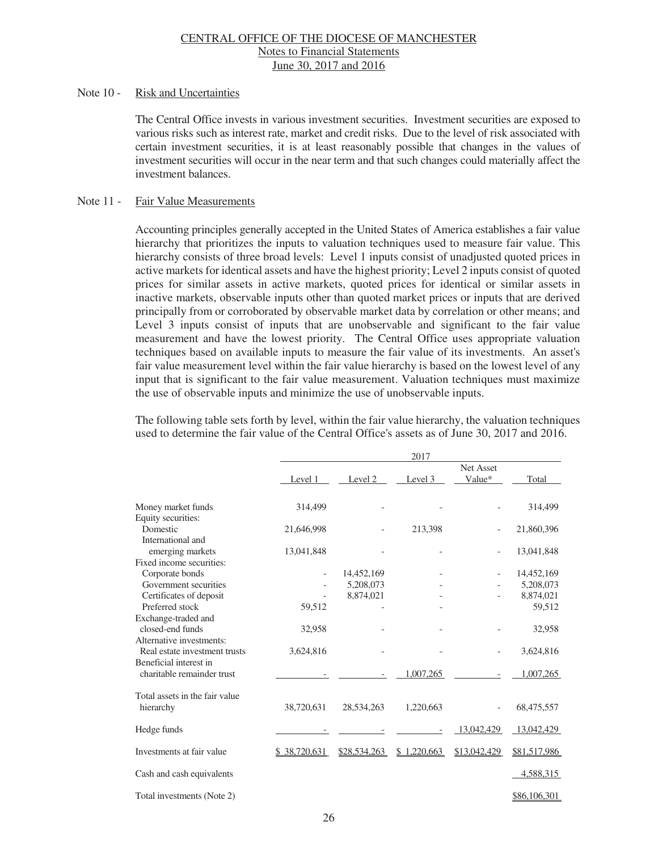#### Note 10 - Risk and Uncertainties

 The Central Office invests in various investment securities. Investment securities are exposed to various risks such as interest rate, market and credit risks. Due to the level of risk associated with certain investment securities, it is at least reasonably possible that changes in the values of investment securities will occur in the near term and that such changes could materially affect the investment balances.

#### Note 11 - Fair Value Measurements

Accounting principles generally accepted in the United States of America establishes a fair value hierarchy that prioritizes the inputs to valuation techniques used to measure fair value. This hierarchy consists of three broad levels: Level 1 inputs consist of unadjusted quoted prices in active markets for identical assets and have the highest priority; Level 2 inputs consist of quoted prices for similar assets in active markets, quoted prices for identical or similar assets in inactive markets, observable inputs other than quoted market prices or inputs that are derived principally from or corroborated by observable market data by correlation or other means; and Level 3 inputs consist of inputs that are unobservable and significant to the fair value measurement and have the lowest priority. The Central Office uses appropriate valuation techniques based on available inputs to measure the fair value of its investments. An asset's fair value measurement level within the fair value hierarchy is based on the lowest level of any input that is significant to the fair value measurement. Valuation techniques must maximize the use of observable inputs and minimize the use of unobservable inputs.

The following table sets forth by level, within the fair value hierarchy, the valuation techniques used to determine the fair value of the Central Office's assets as of June 30, 2017 and 2016.

|                                                           | 2017         |              |             |                     |              |  |
|-----------------------------------------------------------|--------------|--------------|-------------|---------------------|--------------|--|
|                                                           | Level 1      | Level 2      | Level 3     | Net Asset<br>Value* | Total        |  |
| Money market funds                                        | 314,499      |              |             |                     | 314,499      |  |
| Equity securities:<br>Domestic<br>International and       | 21,646,998   |              | 213,398     |                     | 21,860,396   |  |
| emerging markets<br>Fixed income securities:              | 13,041,848   |              |             |                     | 13,041,848   |  |
| Corporate bonds                                           |              | 14,452,169   |             |                     | 14,452,169   |  |
| Government securities                                     |              | 5,208,073    |             |                     | 5,208,073    |  |
| Certificates of deposit                                   |              | 8,874,021    |             |                     | 8,874,021    |  |
| Preferred stock                                           | 59,512       |              |             |                     | 59,512       |  |
| Exchange-traded and<br>closed-end funds                   | 32,958       |              |             |                     | 32,958       |  |
| Alternative investments:<br>Real estate investment trusts | 3,624,816    |              |             |                     | 3,624,816    |  |
| Beneficial interest in                                    |              |              |             |                     |              |  |
| charitable remainder trust                                |              |              | 1,007,265   |                     | 1,007,265    |  |
| Total assets in the fair value                            |              |              |             |                     |              |  |
| hierarchy                                                 | 38,720,631   | 28,534,263   | 1,220,663   |                     | 68,475,557   |  |
| Hedge funds                                               |              |              |             | 13,042,429          | 13,042,429   |  |
| Investments at fair value                                 | \$38,720,631 | \$28,534,263 | \$1,220,663 | \$13,042,429        | \$81,517,986 |  |
| Cash and cash equivalents                                 |              |              |             |                     | 4,588,315    |  |
| Total investments (Note 2)                                |              |              |             |                     | \$86,106,301 |  |
|                                                           |              |              |             |                     |              |  |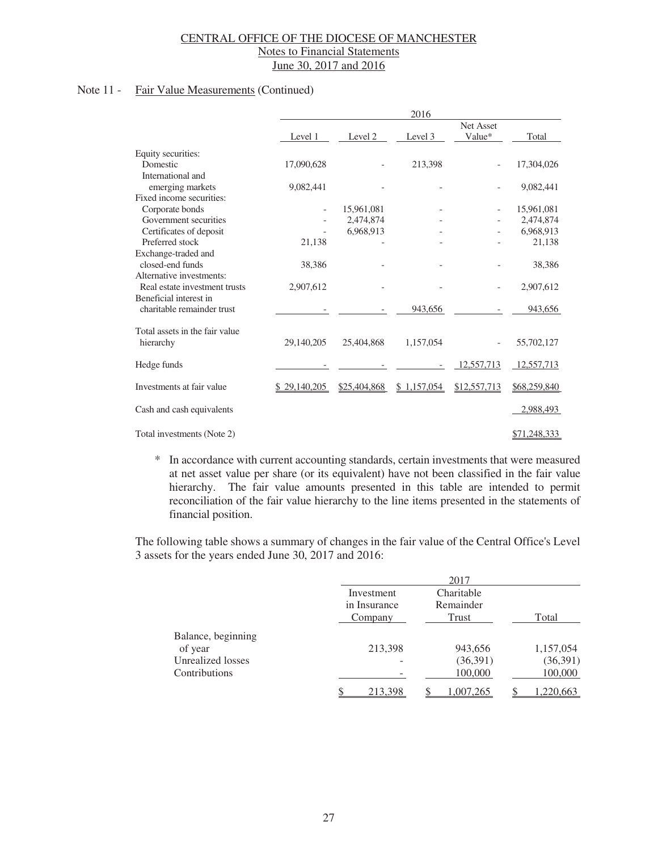# Note 11 - Fair Value Measurements (Continued)

|                                | 2016         |              |             |              |              |  |
|--------------------------------|--------------|--------------|-------------|--------------|--------------|--|
|                                |              |              |             | Net Asset    |              |  |
|                                | Level 1      | Level 2      | Level 3     | Value*       | Total        |  |
| Equity securities:             |              |              |             |              |              |  |
| Domestic                       | 17,090,628   |              | 213,398     |              | 17,304,026   |  |
| International and              |              |              |             |              |              |  |
| emerging markets               | 9,082,441    |              |             |              | 9,082,441    |  |
| Fixed income securities:       |              |              |             |              |              |  |
| Corporate bonds                |              | 15,961,081   |             |              | 15,961,081   |  |
| Government securities          |              | 2,474,874    |             |              | 2,474,874    |  |
| Certificates of deposit        |              | 6.968.913    |             |              | 6,968,913    |  |
| Preferred stock                | 21,138       |              |             |              | 21,138       |  |
| Exchange-traded and            |              |              |             |              |              |  |
| closed-end funds               | 38,386       |              |             |              | 38,386       |  |
| Alternative investments:       |              |              |             |              |              |  |
| Real estate investment trusts  | 2,907,612    |              |             |              | 2,907,612    |  |
| Beneficial interest in         |              |              |             |              |              |  |
| charitable remainder trust     |              |              | 943,656     |              | 943,656      |  |
| Total assets in the fair value |              |              |             |              |              |  |
| hierarchy                      | 29,140,205   | 25,404,868   | 1,157,054   |              | 55,702,127   |  |
|                                |              |              |             |              |              |  |
| Hedge funds                    |              |              |             | 12,557,713   | 12,557,713   |  |
| Investments at fair value      | \$29,140,205 | \$25,404,868 | \$1,157,054 | \$12,557,713 | \$68,259,840 |  |
| Cash and cash equivalents      |              |              |             |              | 2,988,493    |  |
|                                |              |              |             |              |              |  |
| Total investments (Note 2)     |              |              |             |              | \$71,248,333 |  |

\* In accordance with current accounting standards, certain investments that were measured at net asset value per share (or its equivalent) have not been classified in the fair value hierarchy. The fair value amounts presented in this table are intended to permit reconciliation of the fair value hierarchy to the line items presented in the statements of financial position.

The following table shows a summary of changes in the fair value of the Central Office's Level 3 assets for the years ended June 30, 2017 and 2016:

|                    |                         | 2017               |           |
|--------------------|-------------------------|--------------------|-----------|
|                    | Investment              | Charitable         |           |
|                    | in Insurance<br>Company | Remainder<br>Trust | Total     |
| Balance, beginning |                         |                    |           |
| of year            | 213,398                 | 943,656            | 1,157,054 |
| Unrealized losses  |                         | (36,391)           | (36,391)  |
| Contributions      |                         | 100,000            | 100,000   |
|                    | 213,398                 | 1,007,265          | 1,220,663 |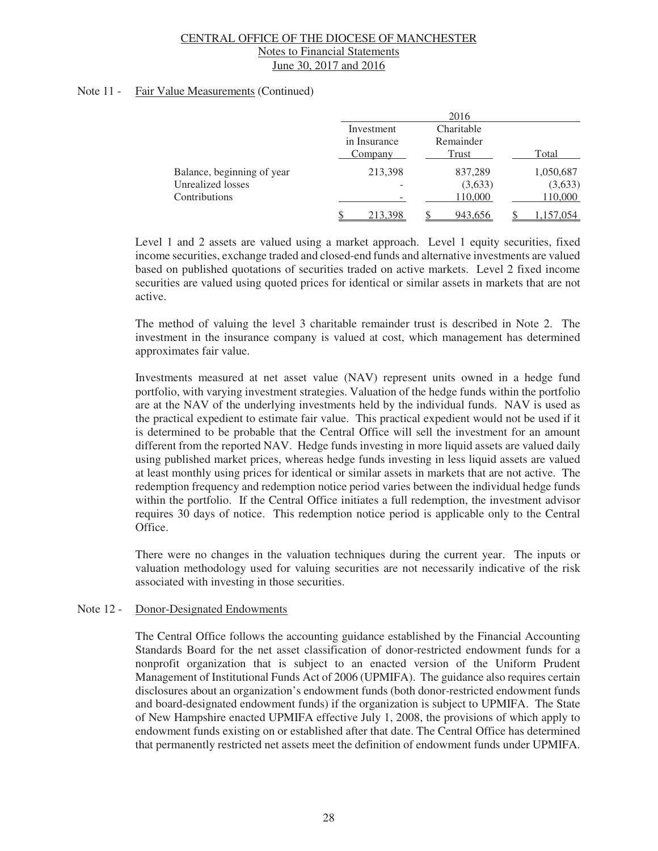# Note 11 - Fair Value Measurements (Continued)

|                            |                            | 2016                    |           |
|----------------------------|----------------------------|-------------------------|-----------|
|                            | Investment<br>in Insurance | Charitable<br>Remainder |           |
|                            | Company                    | Trust                   | Total     |
| Balance, beginning of year | 213,398                    | 837,289                 | 1,050,687 |
| Unrealized losses          |                            | (3,633)                 | (3,633)   |
| Contributions              |                            | 110,000                 | 110,000   |
|                            | 213,398                    | 943,656                 | 1,157,054 |

Level 1 and 2 assets are valued using a market approach. Level 1 equity securities, fixed income securities, exchange traded and closed-end funds and alternative investments are valued based on published quotations of securities traded on active markets. Level 2 fixed income securities are valued using quoted prices for identical or similar assets in markets that are not active.

The method of valuing the level 3 charitable remainder trust is described in Note 2. The investment in the insurance company is valued at cost, which management has determined approximates fair value.

Investments measured at net asset value (NAV) represent units owned in a hedge fund portfolio, with varying investment strategies. Valuation of the hedge funds within the portfolio are at the NAV of the underlying investments held by the individual funds. NAV is used as the practical expedient to estimate fair value. This practical expedient would not be used if it is determined to be probable that the Central Office will sell the investment for an amount different from the reported NAV. Hedge funds investing in more liquid assets are valued daily using published market prices, whereas hedge funds investing in less liquid assets are valued at least monthly using prices for identical or similar assets in markets that are not active. The redemption frequency and redemption notice period varies between the individual hedge funds within the portfolio. If the Central Office initiates a full redemption, the investment advisor requires 30 days of notice. This redemption notice period is applicable only to the Central Office.

There were no changes in the valuation techniques during the current year. The inputs or valuation methodology used for valuing securities are not necessarily indicative of the risk associated with investing in those securities.

# Note 12 - Donor-Designated Endowments

The Central Office follows the accounting guidance established by the Financial Accounting Standards Board for the net asset classification of donor-restricted endowment funds for a nonprofit organization that is subject to an enacted version of the Uniform Prudent Management of Institutional Funds Act of 2006 (UPMIFA). The guidance also requires certain disclosures about an organization's endowment funds (both donor-restricted endowment funds and board-designated endowment funds) if the organization is subject to UPMIFA. The State of New Hampshire enacted UPMIFA effective July 1, 2008, the provisions of which apply to endowment funds existing on or established after that date. The Central Office has determined that permanently restricted net assets meet the definition of endowment funds under UPMIFA.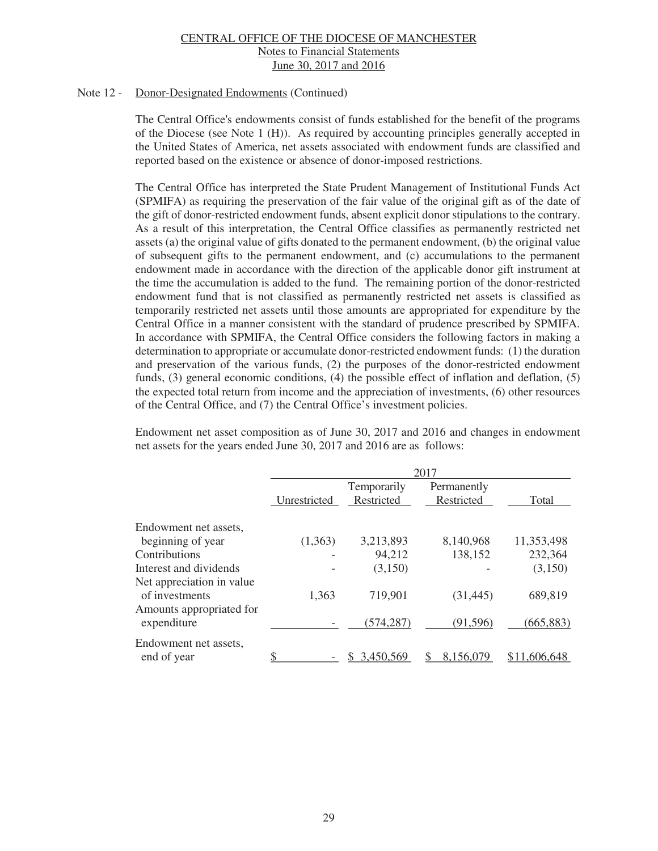#### Note 12 - Donor-Designated Endowments (Continued)

The Central Office's endowments consist of funds established for the benefit of the programs of the Diocese (see Note 1 (H)). As required by accounting principles generally accepted in the United States of America, net assets associated with endowment funds are classified and reported based on the existence or absence of donor-imposed restrictions.

The Central Office has interpreted the State Prudent Management of Institutional Funds Act (SPMIFA) as requiring the preservation of the fair value of the original gift as of the date of the gift of donor-restricted endowment funds, absent explicit donor stipulations to the contrary. As a result of this interpretation, the Central Office classifies as permanently restricted net assets (a) the original value of gifts donated to the permanent endowment, (b) the original value of subsequent gifts to the permanent endowment, and (c) accumulations to the permanent endowment made in accordance with the direction of the applicable donor gift instrument at the time the accumulation is added to the fund. The remaining portion of the donor-restricted endowment fund that is not classified as permanently restricted net assets is classified as temporarily restricted net assets until those amounts are appropriated for expenditure by the Central Office in a manner consistent with the standard of prudence prescribed by SPMIFA. In accordance with SPMIFA, the Central Office considers the following factors in making a determination to appropriate or accumulate donor-restricted endowment funds: (1) the duration and preservation of the various funds, (2) the purposes of the donor-restricted endowment funds, (3) general economic conditions, (4) the possible effect of inflation and deflation, (5) the expected total return from income and the appreciation of investments, (6) other resources of the Central Office, and (7) the Central Office's investment policies.

Endowment net asset composition as of June 30, 2017 and 2016 and changes in endowment net assets for the years ended June 30, 2017 and 2016 are as follows:

|                                             | 2017         |                           |                           |              |  |  |
|---------------------------------------------|--------------|---------------------------|---------------------------|--------------|--|--|
|                                             | Unrestricted | Temporarily<br>Restricted | Permanently<br>Restricted | Total        |  |  |
| Endowment net assets,                       |              |                           |                           |              |  |  |
| beginning of year                           | (1,363)      | 3,213,893                 | 8,140,968                 | 11,353,498   |  |  |
| Contributions                               |              | 94,212                    | 138,152                   | 232,364      |  |  |
| Interest and dividends                      |              | (3,150)                   |                           | (3,150)      |  |  |
| Net appreciation in value<br>of investments | 1,363        | 719,901                   | (31, 445)                 | 689,819      |  |  |
| Amounts appropriated for<br>expenditure     |              | (574, 287)                | (91, 596)                 | (665, 883)   |  |  |
| Endowment net assets,<br>end of year        |              | 3,450,569                 | 8,156,079                 | \$11,606,648 |  |  |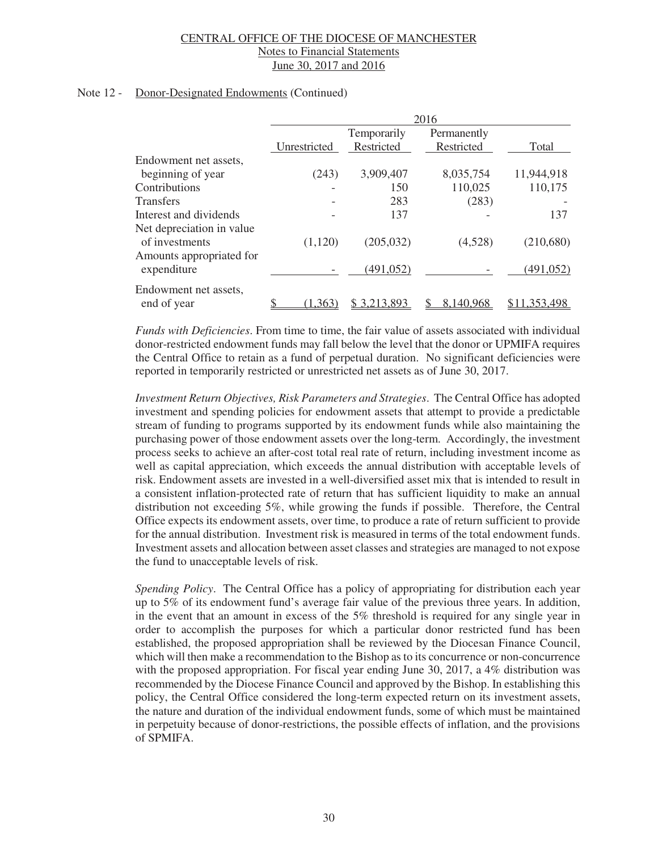#### Note 12 - Donor-Designated Endowments (Continued)

|                                                                         | 2016         |                           |                           |              |  |  |
|-------------------------------------------------------------------------|--------------|---------------------------|---------------------------|--------------|--|--|
|                                                                         | Unrestricted | Temporarily<br>Restricted | Permanently<br>Restricted | Total        |  |  |
| Endowment net assets,                                                   |              |                           |                           |              |  |  |
| beginning of year                                                       | (243)        | 3,909,407                 | 8,035,754                 | 11,944,918   |  |  |
| Contributions                                                           |              | 150                       | 110,025                   | 110,175      |  |  |
| <b>Transfers</b>                                                        |              | 283                       | (283)                     |              |  |  |
| Interest and dividends                                                  |              | 137                       |                           | 137          |  |  |
| Net depreciation in value<br>of investments<br>Amounts appropriated for | (1,120)      | (205, 032)                | (4,528)                   | (210,680)    |  |  |
| expenditure                                                             |              | (491, 052)                |                           | (491, 052)   |  |  |
| Endowment net assets,<br>end of year                                    | (1, 363)     | \$3,213,893               | 8,140,968                 | \$11,353,498 |  |  |

*Funds with Deficiencies*. From time to time, the fair value of assets associated with individual donor-restricted endowment funds may fall below the level that the donor or UPMIFA requires the Central Office to retain as a fund of perpetual duration. No significant deficiencies were reported in temporarily restricted or unrestricted net assets as of June 30, 2017.

*Investment Return Objectives, Risk Parameters and Strategies*. The Central Office has adopted investment and spending policies for endowment assets that attempt to provide a predictable stream of funding to programs supported by its endowment funds while also maintaining the purchasing power of those endowment assets over the long-term. Accordingly, the investment process seeks to achieve an after-cost total real rate of return, including investment income as well as capital appreciation, which exceeds the annual distribution with acceptable levels of risk. Endowment assets are invested in a well-diversified asset mix that is intended to result in a consistent inflation-protected rate of return that has sufficient liquidity to make an annual distribution not exceeding 5%, while growing the funds if possible. Therefore, the Central Office expects its endowment assets, over time, to produce a rate of return sufficient to provide for the annual distribution. Investment risk is measured in terms of the total endowment funds. Investment assets and allocation between asset classes and strategies are managed to not expose the fund to unacceptable levels of risk.

*Spending Policy*. The Central Office has a policy of appropriating for distribution each year up to 5% of its endowment fund's average fair value of the previous three years. In addition, in the event that an amount in excess of the 5% threshold is required for any single year in order to accomplish the purposes for which a particular donor restricted fund has been established, the proposed appropriation shall be reviewed by the Diocesan Finance Council, which will then make a recommendation to the Bishop as to its concurrence or non-concurrence with the proposed appropriation. For fiscal year ending June 30, 2017, a 4% distribution was recommended by the Diocese Finance Council and approved by the Bishop. In establishing this policy, the Central Office considered the long-term expected return on its investment assets, the nature and duration of the individual endowment funds, some of which must be maintained in perpetuity because of donor-restrictions, the possible effects of inflation, and the provisions of SPMIFA.